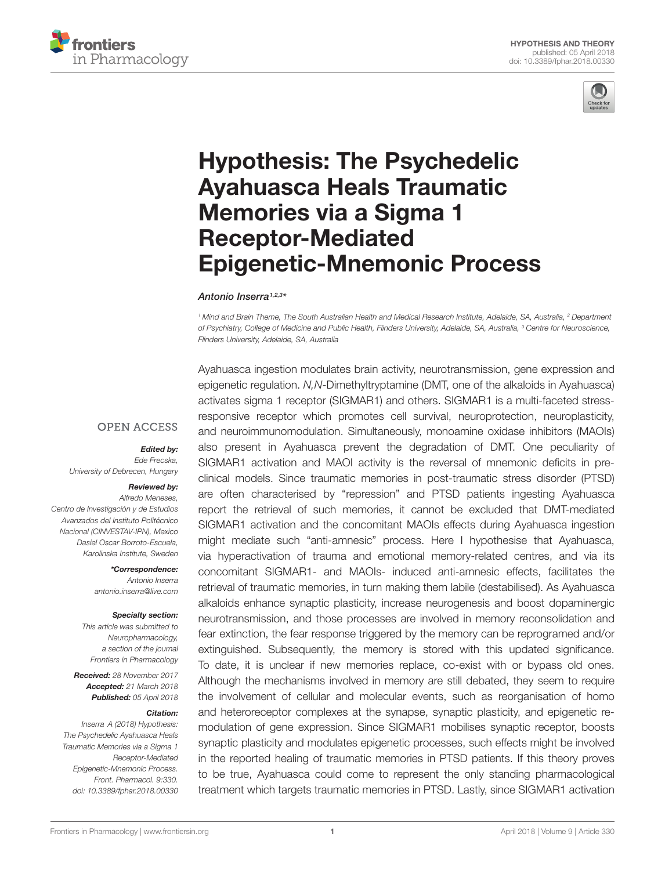



# Hypothesis: The Psychedelic Ayahuasca Heals Traumatic Memories via a Sigma 1 Receptor-Mediated [Epigenetic-Mnemonic Process](https://www.frontiersin.org/articles/10.3389/fphar.2018.00330/full)

[Antonio Inserra](http://loop.frontiersin.org/people/413808/overview)1,2,3\*

<sup>1</sup> Mind and Brain Theme, The South Australian Health and Medical Research Institute, Adelaide, SA, Australia, <sup>2</sup> Department of Psychiatry, College of Medicine and Public Health, Flinders University, Adelaide, SA, Australia, <sup>3</sup> Centre for Neuroscience, Flinders University, Adelaide, SA, Australia

**OPEN ACCESS** 

#### Edited by:

Ede Frecska, University of Debrecen, Hungary

#### Reviewed by:

Alfredo Meneses, Centro de Investigación y de Estudios Avanzados del Instituto Politécnico Nacional (CINVESTAV-IPN), Mexico Dasiel Oscar Borroto-Escuela, Karolinska Institute, Sweden

> \*Correspondence: Antonio Inserra antonio.inserra@live.com

#### Specialty section:

This article was submitted to Neuropharmacology, a section of the journal Frontiers in Pharmacology

Received: 28 November 2017 Accepted: 21 March 2018 Published: 05 April 2018

#### Citation:

Inserra A (2018) Hypothesis: The Psychedelic Ayahuasca Heals Traumatic Memories via a Sigma 1 Receptor-Mediated Epigenetic-Mnemonic Process. Front. Pharmacol. 9:330. doi: [10.3389/fphar.2018.00330](https://doi.org/10.3389/fphar.2018.00330) Ayahuasca ingestion modulates brain activity, neurotransmission, gene expression and epigenetic regulation. N,N-Dimethyltryptamine (DMT, one of the alkaloids in Ayahuasca) activates sigma 1 receptor (SIGMAR1) and others. SIGMAR1 is a multi-faceted stressresponsive receptor which promotes cell survival, neuroprotection, neuroplasticity, and neuroimmunomodulation. Simultaneously, monoamine oxidase inhibitors (MAOIs) also present in Ayahuasca prevent the degradation of DMT. One peculiarity of SIGMAR1 activation and MAOI activity is the reversal of mnemonic deficits in preclinical models. Since traumatic memories in post-traumatic stress disorder (PTSD) are often characterised by "repression" and PTSD patients ingesting Ayahuasca report the retrieval of such memories, it cannot be excluded that DMT-mediated SIGMAR1 activation and the concomitant MAOIs effects during Ayahuasca ingestion might mediate such "anti-amnesic" process. Here I hypothesise that Ayahuasca, via hyperactivation of trauma and emotional memory-related centres, and via its concomitant SIGMAR1- and MAOIs- induced anti-amnesic effects, facilitates the retrieval of traumatic memories, in turn making them labile (destabilised). As Ayahuasca alkaloids enhance synaptic plasticity, increase neurogenesis and boost dopaminergic neurotransmission, and those processes are involved in memory reconsolidation and fear extinction, the fear response triggered by the memory can be reprogramed and/or extinguished. Subsequently, the memory is stored with this updated significance. To date, it is unclear if new memories replace, co-exist with or bypass old ones. Although the mechanisms involved in memory are still debated, they seem to require the involvement of cellular and molecular events, such as reorganisation of homo and heteroreceptor complexes at the synapse, synaptic plasticity, and epigenetic remodulation of gene expression. Since SIGMAR1 mobilises synaptic receptor, boosts synaptic plasticity and modulates epigenetic processes, such effects might be involved in the reported healing of traumatic memories in PTSD patients. If this theory proves to be true, Ayahuasca could come to represent the only standing pharmacological treatment which targets traumatic memories in PTSD. Lastly, since SIGMAR1 activation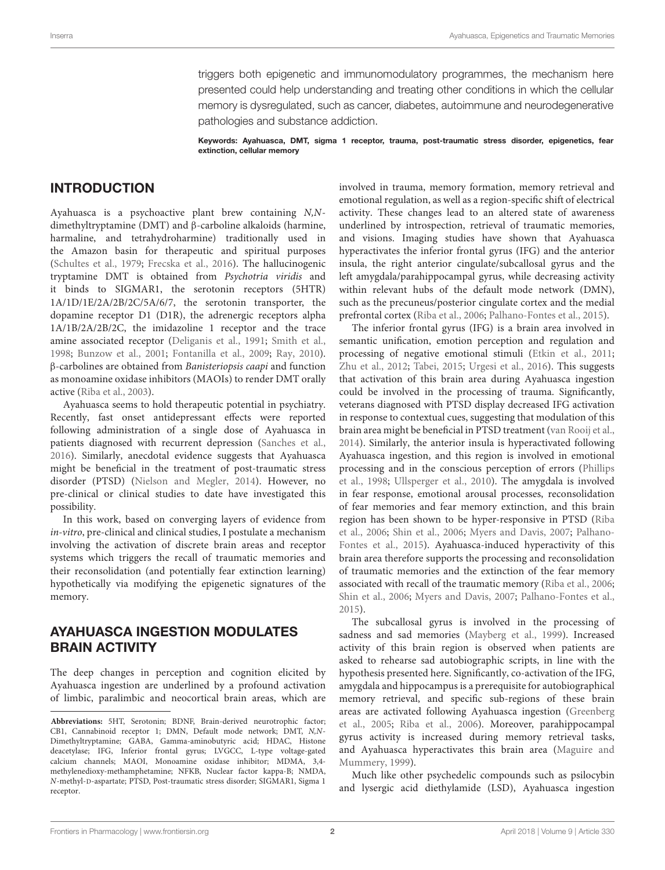triggers both epigenetic and immunomodulatory programmes, the mechanism here presented could help understanding and treating other conditions in which the cellular memory is dysregulated, such as cancer, diabetes, autoimmune and neurodegenerative pathologies and substance addiction.

Keywords: Ayahuasca, DMT, sigma 1 receptor, trauma, post-traumatic stress disorder, epigenetics, fear extinction, cellular memory

#### INTRODUCTION

Ayahuasca is a psychoactive plant brew containing N,Ndimethyltryptamine (DMT) and β-carboline alkaloids (harmine, harmaline, and tetrahydroharmine) traditionally used in the Amazon basin for therapeutic and spiritual purposes [\(Schultes et al.,](#page-11-0) [1979;](#page-11-0) [Frecska et al.,](#page-9-0) [2016\)](#page-9-0). The hallucinogenic tryptamine DMT is obtained from Psychotria viridis and it binds to SIGMAR1, the serotonin receptors (5HTR) 1A/1D/1E/2A/2B/2C/5A/6/7, the serotonin transporter, the dopamine receptor D1 (D1R), the adrenergic receptors alpha 1A/1B/2A/2B/2C, the imidazoline 1 receptor and the trace amine associated receptor [\(Deliganis et al.,](#page-9-1) [1991;](#page-9-1) [Smith et al.,](#page-11-1) [1998;](#page-11-1) [Bunzow et al.,](#page-9-2) [2001;](#page-9-2) [Fontanilla et al.,](#page-9-3) [2009;](#page-9-3) [Ray,](#page-11-2) [2010\)](#page-11-2). β-carbolines are obtained from Banisteriopsis caapi and function as monoamine oxidase inhibitors (MAOIs) to render DMT orally active [\(Riba et al.,](#page-11-3) [2003\)](#page-11-3).

Ayahuasca seems to hold therapeutic potential in psychiatry. Recently, fast onset antidepressant effects were reported following administration of a single dose of Ayahuasca in patients diagnosed with recurrent depression [\(Sanches et al.,](#page-11-4) [2016\)](#page-11-4). Similarly, anecdotal evidence suggests that Ayahuasca might be beneficial in the treatment of post-traumatic stress disorder (PTSD) [\(Nielson and Megler,](#page-11-5) [2014\)](#page-11-5). However, no pre-clinical or clinical studies to date have investigated this possibility.

In this work, based on converging layers of evidence from in-vitro, pre-clinical and clinical studies, I postulate a mechanism involving the activation of discrete brain areas and receptor systems which triggers the recall of traumatic memories and their reconsolidation (and potentially fear extinction learning) hypothetically via modifying the epigenetic signatures of the memory.

#### AYAHUASCA INGESTION MODULATES BRAIN ACTIVITY

The deep changes in perception and cognition elicited by Ayahuasca ingestion are underlined by a profound activation of limbic, paralimbic and neocortical brain areas, which are involved in trauma, memory formation, memory retrieval and emotional regulation, as well as a region-specific shift of electrical activity. These changes lead to an altered state of awareness underlined by introspection, retrieval of traumatic memories, and visions. Imaging studies have shown that Ayahuasca hyperactivates the inferior frontal gyrus (IFG) and the anterior insula, the right anterior cingulate/subcallosal gyrus and the left amygdala/parahippocampal gyrus, while decreasing activity within relevant hubs of the default mode network (DMN), such as the precuneus/posterior cingulate cortex and the medial prefrontal cortex [\(Riba et al.,](#page-11-6) [2006;](#page-11-6) [Palhano-Fontes et al.,](#page-11-7) [2015\)](#page-11-7).

The inferior frontal gyrus (IFG) is a brain area involved in semantic unification, emotion perception and regulation and processing of negative emotional stimuli [\(Etkin et al.,](#page-9-4) [2011;](#page-9-4) [Zhu et al.,](#page-12-0) [2012;](#page-12-0) [Tabei,](#page-11-8) [2015;](#page-11-8) [Urgesi et al.,](#page-11-9) [2016\)](#page-11-9). This suggests that activation of this brain area during Ayahuasca ingestion could be involved in the processing of trauma. Significantly, veterans diagnosed with PTSD display decreased IFG activation in response to contextual cues, suggesting that modulation of this brain area might be beneficial in PTSD treatment [\(van Rooij et al.,](#page-11-10) [2014\)](#page-11-10). Similarly, the anterior insula is hyperactivated following Ayahuasca ingestion, and this region is involved in emotional processing and in the conscious perception of errors [\(Phillips](#page-11-11) [et al.,](#page-11-11) [1998;](#page-11-11) [Ullsperger et al.,](#page-11-12) [2010\)](#page-11-12). The amygdala is involved in fear response, emotional arousal processes, reconsolidation of fear memories and fear memory extinction, and this brain region has been shown to be hyper-responsive in PTSD [\(Riba](#page-11-6) [et al.,](#page-11-6) [2006;](#page-11-6) [Shin et al.,](#page-11-13) [2006;](#page-11-13) [Myers and Davis,](#page-10-0) [2007;](#page-10-0) [Palhano-](#page-11-7)[Fontes et al.,](#page-11-7) [2015\)](#page-11-7). Ayahuasca-induced hyperactivity of this brain area therefore supports the processing and reconsolidation of traumatic memories and the extinction of the fear memory associated with recall of the traumatic memory [\(Riba et al.,](#page-11-6) [2006;](#page-11-6) [Shin et al.,](#page-11-13) [2006;](#page-11-13) [Myers and Davis,](#page-10-0) [2007;](#page-10-0) [Palhano-Fontes et al.,](#page-11-7) [2015\)](#page-11-7).

The subcallosal gyrus is involved in the processing of sadness and sad memories [\(Mayberg et al.,](#page-10-1) [1999\)](#page-10-1). Increased activity of this brain region is observed when patients are asked to rehearse sad autobiographic scripts, in line with the hypothesis presented here. Significantly, co-activation of the IFG, amygdala and hippocampus is a prerequisite for autobiographical memory retrieval, and specific sub-regions of these brain areas are activated following Ayahuasca ingestion [\(Greenberg](#page-10-2) [et al.,](#page-10-2) [2005;](#page-10-2) [Riba et al.,](#page-11-6) [2006\)](#page-11-6). Moreover, parahippocampal gyrus activity is increased during memory retrieval tasks, and Ayahuasca hyperactivates this brain area [\(Maguire and](#page-10-3) [Mummery,](#page-10-3) [1999\)](#page-10-3).

Much like other psychedelic compounds such as psilocybin and lysergic acid diethylamide (LSD), Ayahuasca ingestion

**Abbreviations:** 5HT, Serotonin; BDNF, Brain-derived neurotrophic factor; CB1, Cannabinoid receptor 1; DMN, Default mode network; DMT, N,N-Dimethyltryptamine; GABA, Gamma-aminobutyric acid; HDAC, Histone deacetylase; IFG, Inferior frontal gyrus; LVGCC, L-type voltage-gated calcium channels; MAOI, Monoamine oxidase inhibitor; MDMA, 3,4 methylenedioxy-methamphetamine; NFKB, Nuclear factor kappa-B; NMDA, N-methyl-D-aspartate; PTSD, Post-traumatic stress disorder; SIGMAR1, Sigma 1 receptor.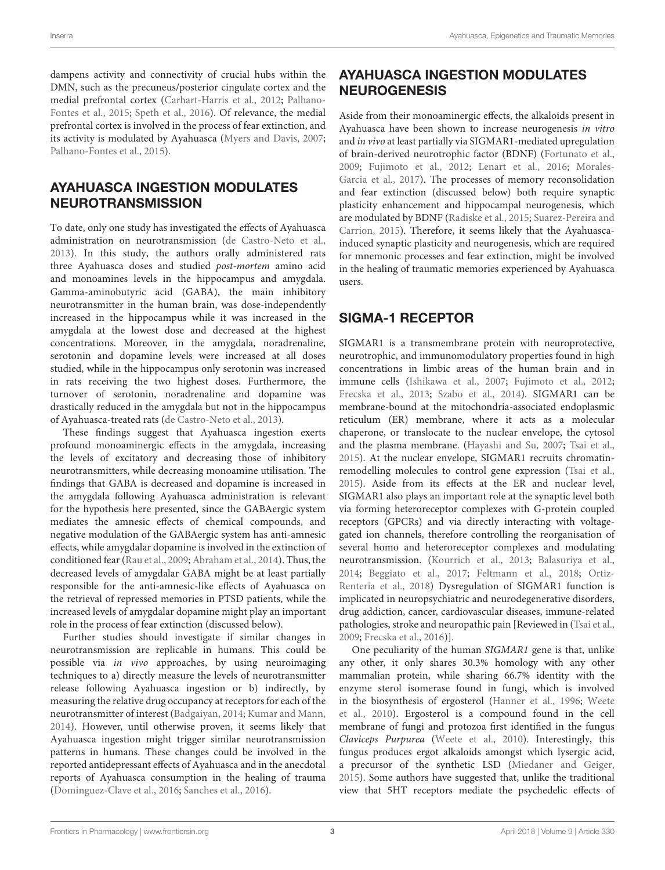dampens activity and connectivity of crucial hubs within the DMN, such as the precuneus/posterior cingulate cortex and the medial prefrontal cortex [\(Carhart-Harris et al.,](#page-9-5) [2012;](#page-9-5) [Palhano-](#page-11-7)[Fontes et al.,](#page-11-7) [2015;](#page-11-7) [Speth et al.,](#page-11-14) [2016\)](#page-11-14). Of relevance, the medial prefrontal cortex is involved in the process of fear extinction, and its activity is modulated by Ayahuasca [\(Myers and Davis,](#page-10-0) [2007;](#page-10-0) [Palhano-Fontes et al.,](#page-11-7) [2015\)](#page-11-7).

#### AYAHUASCA INGESTION MODULATES NEUROTRANSMISSION

To date, only one study has investigated the effects of Ayahuasca administration on neurotransmission [\(de Castro-Neto et al.,](#page-9-6) [2013\)](#page-9-6). In this study, the authors orally administered rats three Ayahuasca doses and studied post-mortem amino acid and monoamines levels in the hippocampus and amygdala. Gamma-aminobutyric acid (GABA), the main inhibitory neurotransmitter in the human brain, was dose-independently increased in the hippocampus while it was increased in the amygdala at the lowest dose and decreased at the highest concentrations. Moreover, in the amygdala, noradrenaline, serotonin and dopamine levels were increased at all doses studied, while in the hippocampus only serotonin was increased in rats receiving the two highest doses. Furthermore, the turnover of serotonin, noradrenaline and dopamine was drastically reduced in the amygdala but not in the hippocampus of Ayahuasca-treated rats [\(de Castro-Neto et al.,](#page-9-6) [2013\)](#page-9-6).

These findings suggest that Ayahuasca ingestion exerts profound monoaminergic effects in the amygdala, increasing the levels of excitatory and decreasing those of inhibitory neurotransmitters, while decreasing monoamine utilisation. The findings that GABA is decreased and dopamine is increased in the amygdala following Ayahuasca administration is relevant for the hypothesis here presented, since the GABAergic system mediates the amnesic effects of chemical compounds, and negative modulation of the GABAergic system has anti-amnesic effects, while amygdalar dopamine is involved in the extinction of conditioned fear [\(Rau et al.,](#page-11-15) [2009;](#page-11-15) [Abraham et al.,](#page-8-0) [2014\)](#page-8-0). Thus, the decreased levels of amygdalar GABA might be at least partially responsible for the anti-amnesic-like effects of Ayahuasca on the retrieval of repressed memories in PTSD patients, while the increased levels of amygdalar dopamine might play an important role in the process of fear extinction (discussed below).

Further studies should investigate if similar changes in neurotransmission are replicable in humans. This could be possible via in vivo approaches, by using neuroimaging techniques to a) directly measure the levels of neurotransmitter release following Ayahuasca ingestion or b) indirectly, by measuring the relative drug occupancy at receptors for each of the neurotransmitter of interest [\(Badgaiyan,](#page-9-7) [2014;](#page-9-7) [Kumar and Mann,](#page-10-4) [2014\)](#page-10-4). However, until otherwise proven, it seems likely that Ayahuasca ingestion might trigger similar neurotransmission patterns in humans. These changes could be involved in the reported antidepressant effects of Ayahuasca and in the anecdotal reports of Ayahuasca consumption in the healing of trauma [\(Dominguez-Clave et al.,](#page-9-8) [2016;](#page-9-8) [Sanches et al.,](#page-11-4) [2016\)](#page-11-4).

# AYAHUASCA INGESTION MODULATES NEUROGENESIS

Aside from their monoaminergic effects, the alkaloids present in Ayahuasca have been shown to increase neurogenesis in vitro and in vivo at least partially via SIGMAR1-mediated upregulation of brain-derived neurotrophic factor (BDNF) [\(Fortunato et al.,](#page-9-9) [2009;](#page-9-9) [Fujimoto et al.,](#page-9-10) [2012;](#page-9-10) [Lenart et al.,](#page-10-5) [2016;](#page-10-5) [Morales-](#page-10-6)[Garcia et al.,](#page-10-6) [2017\)](#page-10-6). The processes of memory reconsolidation and fear extinction (discussed below) both require synaptic plasticity enhancement and hippocampal neurogenesis, which are modulated by BDNF [\(Radiske et al.,](#page-11-16) [2015;](#page-11-16) [Suarez-Pereira and](#page-11-17) [Carrion,](#page-11-17) [2015\)](#page-11-17). Therefore, it seems likely that the Ayahuascainduced synaptic plasticity and neurogenesis, which are required for mnemonic processes and fear extinction, might be involved in the healing of traumatic memories experienced by Ayahuasca users.

## SIGMA-1 RECEPTOR

SIGMAR1 is a transmembrane protein with neuroprotective, neurotrophic, and immunomodulatory properties found in high concentrations in limbic areas of the human brain and in immune cells [\(Ishikawa et al.,](#page-10-7) [2007;](#page-10-7) [Fujimoto et al.,](#page-9-10) [2012;](#page-9-10) [Frecska et al.,](#page-9-11) [2013;](#page-9-11) [Szabo et al.,](#page-11-18) [2014\)](#page-11-18). SIGMAR1 can be membrane-bound at the mitochondria-associated endoplasmic reticulum (ER) membrane, where it acts as a molecular chaperone, or translocate to the nuclear envelope, the cytosol and the plasma membrane. [\(Hayashi and Su,](#page-10-8) [2007;](#page-10-8) [Tsai et al.,](#page-11-19) [2015\)](#page-11-19). At the nuclear envelope, SIGMAR1 recruits chromatinremodelling molecules to control gene expression [\(Tsai et al.,](#page-11-19) [2015\)](#page-11-19). Aside from its effects at the ER and nuclear level, SIGMAR1 also plays an important role at the synaptic level both via forming heteroreceptor complexes with G-protein coupled receptors (GPCRs) and via directly interacting with voltagegated ion channels, therefore controlling the reorganisation of several homo and heteroreceptor complexes and modulating neurotransmission. [\(Kourrich et al.,](#page-10-9) [2013;](#page-10-9) [Balasuriya et al.,](#page-9-12) [2014;](#page-9-12) [Beggiato et al.,](#page-9-13) [2017;](#page-9-13) [Feltmann et al.,](#page-9-14) [2018;](#page-9-14) [Ortiz-](#page-11-20)[Renteria et al.,](#page-11-20) [2018\)](#page-11-20) Dysregulation of SIGMAR1 function is implicated in neuropsychiatric and neurodegenerative disorders, drug addiction, cancer, cardiovascular diseases, immune-related pathologies, stroke and neuropathic pain [Reviewed in [\(Tsai et al.,](#page-11-21) [2009;](#page-11-21) [Frecska et al.,](#page-9-0) [2016\)](#page-9-0)].

One peculiarity of the human SIGMAR1 gene is that, unlike any other, it only shares 30.3% homology with any other mammalian protein, while sharing 66.7% identity with the enzyme sterol isomerase found in fungi, which is involved in the biosynthesis of ergosterol [\(Hanner et al.,](#page-10-10) [1996;](#page-10-10) [Weete](#page-12-1) [et al.,](#page-12-1) [2010\)](#page-12-1). Ergosterol is a compound found in the cell membrane of fungi and protozoa first identified in the fungus Claviceps Purpurea [\(Weete et al.,](#page-12-1) [2010\)](#page-12-1). Interestingly, this fungus produces ergot alkaloids amongst which lysergic acid, a precursor of the synthetic LSD [\(Miedaner and Geiger,](#page-10-11) [2015\)](#page-10-11). Some authors have suggested that, unlike the traditional view that 5HT receptors mediate the psychedelic effects of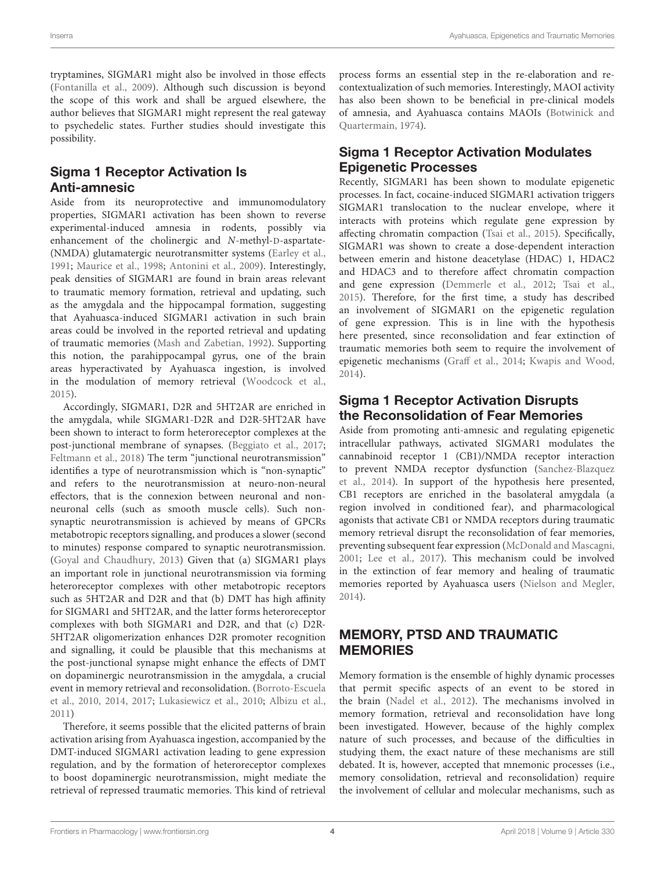tryptamines, SIGMAR1 might also be involved in those effects [\(Fontanilla et al.,](#page-9-3) [2009\)](#page-9-3). Although such discussion is beyond the scope of this work and shall be argued elsewhere, the author believes that SIGMAR1 might represent the real gateway to psychedelic states. Further studies should investigate this possibility.

# Sigma 1 Receptor Activation Is Anti-amnesic

Aside from its neuroprotective and immunomodulatory properties, SIGMAR1 activation has been shown to reverse experimental-induced amnesia in rodents, possibly via enhancement of the cholinergic and N-methyl-D-aspartate- (NMDA) glutamatergic neurotransmitter systems [\(Earley et al.,](#page-9-15) [1991;](#page-9-15) [Maurice et al.,](#page-10-12) [1998;](#page-10-12) [Antonini et al.,](#page-9-16) [2009\)](#page-9-16). Interestingly, peak densities of SIGMAR1 are found in brain areas relevant to traumatic memory formation, retrieval and updating, such as the amygdala and the hippocampal formation, suggesting that Ayahuasca-induced SIGMAR1 activation in such brain areas could be involved in the reported retrieval and updating of traumatic memories [\(Mash and Zabetian,](#page-10-13) [1992\)](#page-10-13). Supporting this notion, the parahippocampal gyrus, one of the brain areas hyperactivated by Ayahuasca ingestion, is involved in the modulation of memory retrieval [\(Woodcock et al.,](#page-12-2) [2015\)](#page-12-2).

Accordingly, SIGMAR1, D2R and 5HT2AR are enriched in the amygdala, while SIGMAR1-D2R and D2R-5HT2AR have been shown to interact to form heteroreceptor complexes at the post-junctional membrane of synapses. [\(Beggiato et al.,](#page-9-13) [2017;](#page-9-13) [Feltmann et al.,](#page-9-14) [2018\)](#page-9-14) The term "junctional neurotransmission" identifies a type of neurotransmission which is "non-synaptic" and refers to the neurotransmission at neuro-non-neural effectors, that is the connexion between neuronal and nonneuronal cells (such as smooth muscle cells). Such nonsynaptic neurotransmission is achieved by means of GPCRs metabotropic receptors signalling, and produces a slower (second to minutes) response compared to synaptic neurotransmission. [\(Goyal and Chaudhury,](#page-10-14) [2013\)](#page-10-14) Given that (a) SIGMAR1 plays an important role in junctional neurotransmission via forming heteroreceptor complexes with other metabotropic receptors such as 5HT2AR and D2R and that (b) DMT has high affinity for SIGMAR1 and 5HT2AR, and the latter forms heteroreceptor complexes with both SIGMAR1 and D2R, and that (c) D2R-5HT2AR oligomerization enhances D2R promoter recognition and signalling, it could be plausible that this mechanisms at the post-junctional synapse might enhance the effects of DMT on dopaminergic neurotransmission in the amygdala, a crucial event in memory retrieval and reconsolidation. [\(Borroto-Escuela](#page-9-17) [et al.,](#page-9-17) [2010,](#page-9-17) [2014,](#page-9-18) [2017;](#page-9-19) [Lukasiewicz et al.,](#page-10-15) [2010;](#page-10-15) [Albizu et al.,](#page-8-1) [2011\)](#page-8-1)

Therefore, it seems possible that the elicited patterns of brain activation arising from Ayahuasca ingestion, accompanied by the DMT-induced SIGMAR1 activation leading to gene expression regulation, and by the formation of heteroreceptor complexes to boost dopaminergic neurotransmission, might mediate the retrieval of repressed traumatic memories. This kind of retrieval

process forms an essential step in the re-elaboration and recontextualization of such memories. Interestingly, MAOI activity has also been shown to be beneficial in pre-clinical models of amnesia, and Ayahuasca contains MAOIs [\(Botwinick and](#page-9-20) [Quartermain,](#page-9-20) [1974\)](#page-9-20).

# Sigma 1 Receptor Activation Modulates Epigenetic Processes

Recently, SIGMAR1 has been shown to modulate epigenetic processes. In fact, cocaine-induced SIGMAR1 activation triggers SIGMAR1 translocation to the nuclear envelope, where it interacts with proteins which regulate gene expression by affecting chromatin compaction [\(Tsai et al.,](#page-11-19) [2015\)](#page-11-19). Specifically, SIGMAR1 was shown to create a dose-dependent interaction between emerin and histone deacetylase (HDAC) 1, HDAC2 and HDAC3 and to therefore affect chromatin compaction and gene expression [\(Demmerle et al.,](#page-9-21) [2012;](#page-9-21) [Tsai et al.,](#page-11-19) [2015\)](#page-11-19). Therefore, for the first time, a study has described an involvement of SIGMAR1 on the epigenetic regulation of gene expression. This is in line with the hypothesis here presented, since reconsolidation and fear extinction of traumatic memories both seem to require the involvement of epigenetic mechanisms [\(Graff et al.,](#page-10-16) [2014;](#page-10-16) [Kwapis and Wood,](#page-10-17) [2014\)](#page-10-17).

#### Sigma 1 Receptor Activation Disrupts the Reconsolidation of Fear Memories

Aside from promoting anti-amnesic and regulating epigenetic intracellular pathways, activated SIGMAR1 modulates the cannabinoid receptor 1 (CB1)/NMDA receptor interaction to prevent NMDA receptor dysfunction [\(Sanchez-Blazquez](#page-11-22) [et al.,](#page-11-22) [2014\)](#page-11-22). In support of the hypothesis here presented, CB1 receptors are enriched in the basolateral amygdala (a region involved in conditioned fear), and pharmacological agonists that activate CB1 or NMDA receptors during traumatic memory retrieval disrupt the reconsolidation of fear memories, preventing subsequent fear expression [\(McDonald and Mascagni,](#page-10-18) [2001;](#page-10-18) [Lee et al.,](#page-10-19) [2017\)](#page-10-19). This mechanism could be involved in the extinction of fear memory and healing of traumatic memories reported by Ayahuasca users [\(Nielson and Megler,](#page-11-5) [2014\)](#page-11-5).

#### MEMORY, PTSD AND TRAUMATIC MEMORIES

Memory formation is the ensemble of highly dynamic processes that permit specific aspects of an event to be stored in the brain [\(Nadel et al.,](#page-11-23) [2012\)](#page-11-23). The mechanisms involved in memory formation, retrieval and reconsolidation have long been investigated. However, because of the highly complex nature of such processes, and because of the difficulties in studying them, the exact nature of these mechanisms are still debated. It is, however, accepted that mnemonic processes (i.e., memory consolidation, retrieval and reconsolidation) require the involvement of cellular and molecular mechanisms, such as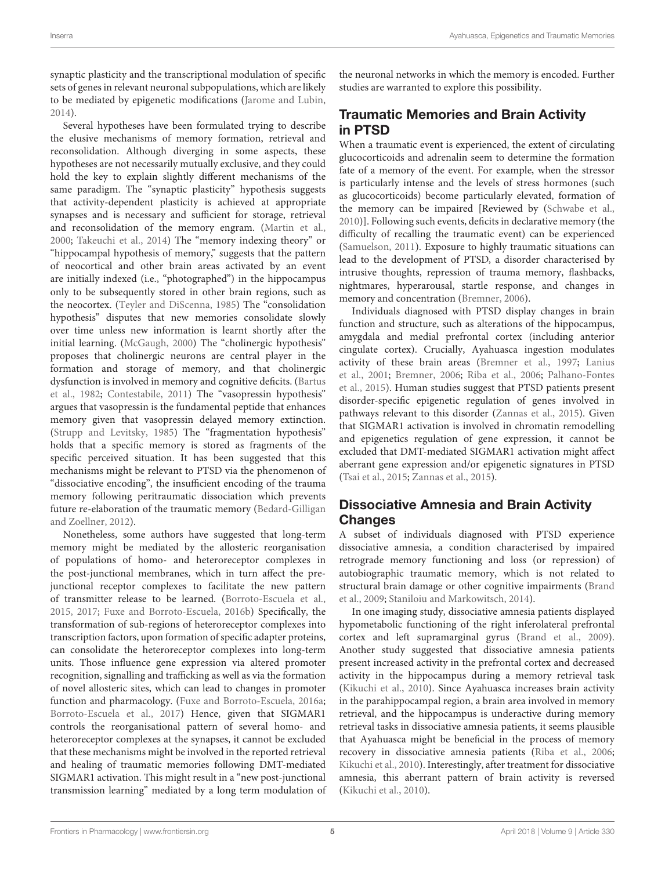synaptic plasticity and the transcriptional modulation of specific sets of genes in relevant neuronal subpopulations, which are likely to be mediated by epigenetic modifications [\(Jarome and Lubin,](#page-10-20) [2014\)](#page-10-20).

Several hypotheses have been formulated trying to describe the elusive mechanisms of memory formation, retrieval and reconsolidation. Although diverging in some aspects, these hypotheses are not necessarily mutually exclusive, and they could hold the key to explain slightly different mechanisms of the same paradigm. The "synaptic plasticity" hypothesis suggests that activity-dependent plasticity is achieved at appropriate synapses and is necessary and sufficient for storage, retrieval and reconsolidation of the memory engram. [\(Martin et al.,](#page-10-21) [2000;](#page-10-21) [Takeuchi et al.,](#page-11-24) [2014\)](#page-11-24) The "memory indexing theory" or "hippocampal hypothesis of memory," suggests that the pattern of neocortical and other brain areas activated by an event are initially indexed (i.e., "photographed") in the hippocampus only to be subsequently stored in other brain regions, such as the neocortex. [\(Teyler and DiScenna,](#page-11-25) [1985\)](#page-11-25) The "consolidation hypothesis" disputes that new memories consolidate slowly over time unless new information is learnt shortly after the initial learning. [\(McGaugh,](#page-10-22) [2000\)](#page-10-22) The "cholinergic hypothesis" proposes that cholinergic neurons are central player in the formation and storage of memory, and that cholinergic dysfunction is involved in memory and cognitive deficits. [\(Bartus](#page-9-22) [et al.,](#page-9-22) [1982;](#page-9-22) [Contestabile,](#page-9-23) [2011\)](#page-9-23) The "vasopressin hypothesis" argues that vasopressin is the fundamental peptide that enhances memory given that vasopressin delayed memory extinction. [\(Strupp and Levitsky,](#page-11-26) [1985\)](#page-11-26) The "fragmentation hypothesis" holds that a specific memory is stored as fragments of the specific perceived situation. It has been suggested that this mechanisms might be relevant to PTSD via the phenomenon of "dissociative encoding", the insufficient encoding of the trauma memory following peritraumatic dissociation which prevents future re-elaboration of the traumatic memory [\(Bedard-Gilligan](#page-9-24) [and Zoellner,](#page-9-24) [2012\)](#page-9-24).

Nonetheless, some authors have suggested that long-term memory might be mediated by the allosteric reorganisation of populations of homo- and heteroreceptor complexes in the post-junctional membranes, which in turn affect the prejunctional receptor complexes to facilitate the new pattern of transmitter release to be learned. [\(Borroto-Escuela et al.,](#page-9-25) [2015,](#page-9-25) [2017;](#page-9-19) [Fuxe and Borroto-Escuela,](#page-10-23) [2016b\)](#page-10-23) Specifically, the transformation of sub-regions of heteroreceptor complexes into transcription factors, upon formation of specific adapter proteins, can consolidate the heteroreceptor complexes into long-term units. Those influence gene expression via altered promoter recognition, signalling and trafficking as well as via the formation of novel allosteric sites, which can lead to changes in promoter function and pharmacology. [\(Fuxe and Borroto-Escuela,](#page-9-26) [2016a;](#page-9-26) [Borroto-Escuela et al.,](#page-9-19) [2017\)](#page-9-19) Hence, given that SIGMAR1 controls the reorganisational pattern of several homo- and heteroreceptor complexes at the synapses, it cannot be excluded that these mechanisms might be involved in the reported retrieval and healing of traumatic memories following DMT-mediated SIGMAR1 activation. This might result in a "new post-junctional transmission learning" mediated by a long term modulation of the neuronal networks in which the memory is encoded. Further studies are warranted to explore this possibility.

#### Traumatic Memories and Brain Activity in PTSD

When a traumatic event is experienced, the extent of circulating glucocorticoids and adrenalin seem to determine the formation fate of a memory of the event. For example, when the stressor is particularly intense and the levels of stress hormones (such as glucocorticoids) become particularly elevated, formation of the memory can be impaired [Reviewed by [\(Schwabe et al.,](#page-11-27) [2010\)](#page-11-27)]. Following such events, deficits in declarative memory (the difficulty of recalling the traumatic event) can be experienced [\(Samuelson,](#page-11-28) [2011\)](#page-11-28). Exposure to highly traumatic situations can lead to the development of PTSD, a disorder characterised by intrusive thoughts, repression of trauma memory, flashbacks, nightmares, hyperarousal, startle response, and changes in memory and concentration [\(Bremner,](#page-9-27) [2006\)](#page-9-27).

Individuals diagnosed with PTSD display changes in brain function and structure, such as alterations of the hippocampus, amygdala and medial prefrontal cortex (including anterior cingulate cortex). Crucially, Ayahuasca ingestion modulates activity of these brain areas [\(Bremner et al.,](#page-9-28) [1997;](#page-9-28) [Lanius](#page-10-24) [et al.,](#page-10-24) [2001;](#page-10-24) [Bremner,](#page-9-27) [2006;](#page-9-27) [Riba et al.,](#page-11-6) [2006;](#page-11-6) [Palhano-Fontes](#page-11-7) [et al.,](#page-11-7) [2015\)](#page-11-7). Human studies suggest that PTSD patients present disorder-specific epigenetic regulation of genes involved in pathways relevant to this disorder [\(Zannas et al.,](#page-12-3) [2015\)](#page-12-3). Given that SIGMAR1 activation is involved in chromatin remodelling and epigenetics regulation of gene expression, it cannot be excluded that DMT-mediated SIGMAR1 activation might affect aberrant gene expression and/or epigenetic signatures in PTSD [\(Tsai et al.,](#page-11-19) [2015;](#page-11-19) [Zannas et al.,](#page-12-3) [2015\)](#page-12-3).

#### Dissociative Amnesia and Brain Activity **Changes**

A subset of individuals diagnosed with PTSD experience dissociative amnesia, a condition characterised by impaired retrograde memory functioning and loss (or repression) of autobiographic traumatic memory, which is not related to structural brain damage or other cognitive impairments [\(Brand](#page-9-29) [et al.,](#page-9-29) [2009;](#page-9-29) [Staniloiu and Markowitsch,](#page-11-29) [2014\)](#page-11-29).

In one imaging study, dissociative amnesia patients displayed hypometabolic functioning of the right inferolateral prefrontal cortex and left supramarginal gyrus [\(Brand et al.,](#page-9-29) [2009\)](#page-9-29). Another study suggested that dissociative amnesia patients present increased activity in the prefrontal cortex and decreased activity in the hippocampus during a memory retrieval task [\(Kikuchi et al.,](#page-10-25) [2010\)](#page-10-25). Since Ayahuasca increases brain activity in the parahippocampal region, a brain area involved in memory retrieval, and the hippocampus is underactive during memory retrieval tasks in dissociative amnesia patients, it seems plausible that Ayahuasca might be beneficial in the process of memory recovery in dissociative amnesia patients [\(Riba et al.,](#page-11-6) [2006;](#page-11-6) [Kikuchi et al.,](#page-10-25) [2010\)](#page-10-25). Interestingly, after treatment for dissociative amnesia, this aberrant pattern of brain activity is reversed [\(Kikuchi et al.,](#page-10-25) [2010\)](#page-10-25).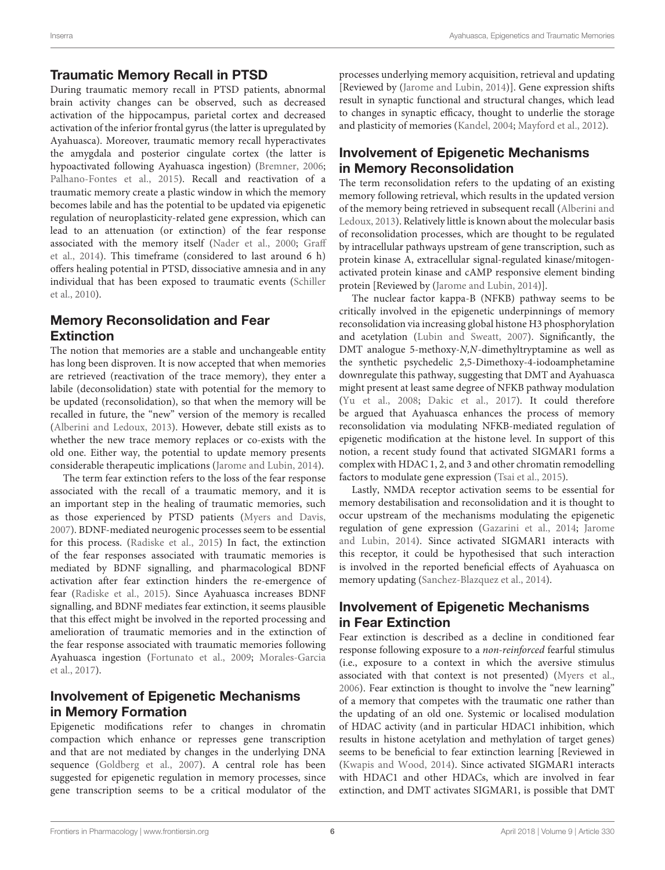#### Traumatic Memory Recall in PTSD

During traumatic memory recall in PTSD patients, abnormal brain activity changes can be observed, such as decreased activation of the hippocampus, parietal cortex and decreased activation of the inferior frontal gyrus (the latter is upregulated by Ayahuasca). Moreover, traumatic memory recall hyperactivates the amygdala and posterior cingulate cortex (the latter is hypoactivated following Ayahuasca ingestion) [\(Bremner,](#page-9-27) [2006;](#page-9-27) [Palhano-Fontes et al.,](#page-11-7) [2015\)](#page-11-7). Recall and reactivation of a traumatic memory create a plastic window in which the memory becomes labile and has the potential to be updated via epigenetic regulation of neuroplasticity-related gene expression, which can lead to an attenuation (or extinction) of the fear response associated with the memory itself [\(Nader et al.,](#page-11-30) [2000;](#page-11-30) [Graff](#page-10-16) [et al.,](#page-10-16) [2014\)](#page-10-16). This timeframe (considered to last around 6 h) offers healing potential in PTSD, dissociative amnesia and in any individual that has been exposed to traumatic events [\(Schiller](#page-11-31) [et al.,](#page-11-31) [2010\)](#page-11-31).

#### Memory Reconsolidation and Fear **Extinction**

The notion that memories are a stable and unchangeable entity has long been disproven. It is now accepted that when memories are retrieved (reactivation of the trace memory), they enter a labile (deconsolidation) state with potential for the memory to be updated (reconsolidation), so that when the memory will be recalled in future, the "new" version of the memory is recalled [\(Alberini and Ledoux,](#page-8-2) [2013\)](#page-8-2). However, debate still exists as to whether the new trace memory replaces or co-exists with the old one. Either way, the potential to update memory presents considerable therapeutic implications [\(Jarome and Lubin,](#page-10-20) [2014\)](#page-10-20).

The term fear extinction refers to the loss of the fear response associated with the recall of a traumatic memory, and it is an important step in the healing of traumatic memories, such as those experienced by PTSD patients [\(Myers and Davis,](#page-10-0) [2007\)](#page-10-0). BDNF-mediated neurogenic processes seem to be essential for this process. [\(Radiske et al.,](#page-11-16) [2015\)](#page-11-16) In fact, the extinction of the fear responses associated with traumatic memories is mediated by BDNF signalling, and pharmacological BDNF activation after fear extinction hinders the re-emergence of fear [\(Radiske et al.,](#page-11-16) [2015\)](#page-11-16). Since Ayahuasca increases BDNF signalling, and BDNF mediates fear extinction, it seems plausible that this effect might be involved in the reported processing and amelioration of traumatic memories and in the extinction of the fear response associated with traumatic memories following Ayahuasca ingestion [\(Fortunato et al.,](#page-9-9) [2009;](#page-9-9) [Morales-Garcia](#page-10-6) [et al.,](#page-10-6) [2017\)](#page-10-6).

## Involvement of Epigenetic Mechanisms in Memory Formation

Epigenetic modifications refer to changes in chromatin compaction which enhance or represses gene transcription and that are not mediated by changes in the underlying DNA sequence [\(Goldberg et al.,](#page-10-26) [2007\)](#page-10-26). A central role has been suggested for epigenetic regulation in memory processes, since gene transcription seems to be a critical modulator of the processes underlying memory acquisition, retrieval and updating [Reviewed by [\(Jarome and Lubin,](#page-10-20) [2014\)](#page-10-20)]. Gene expression shifts result in synaptic functional and structural changes, which lead to changes in synaptic efficacy, thought to underlie the storage and plasticity of memories [\(Kandel,](#page-10-27) [2004;](#page-10-27) [Mayford et al.,](#page-10-28) [2012\)](#page-10-28).

# Involvement of Epigenetic Mechanisms in Memory Reconsolidation

The term reconsolidation refers to the updating of an existing memory following retrieval, which results in the updated version of the memory being retrieved in subsequent recall [\(Alberini and](#page-8-2) [Ledoux,](#page-8-2) [2013\)](#page-8-2). Relatively little is known about the molecular basis of reconsolidation processes, which are thought to be regulated by intracellular pathways upstream of gene transcription, such as protein kinase A, extracellular signal-regulated kinase/mitogenactivated protein kinase and cAMP responsive element binding protein [Reviewed by [\(Jarome and Lubin,](#page-10-20) [2014\)](#page-10-20)].

The nuclear factor kappa-B (NFKB) pathway seems to be critically involved in the epigenetic underpinnings of memory reconsolidation via increasing global histone H3 phosphorylation and acetylation [\(Lubin and Sweatt,](#page-10-29) [2007\)](#page-10-29). Significantly, the DMT analogue 5-methoxy-N,N-dimethyltryptamine as well as the synthetic psychedelic 2,5-Dimethoxy-4-iodoamphetamine downregulate this pathway, suggesting that DMT and Ayahuasca might present at least same degree of NFKB pathway modulation [\(Yu et al.,](#page-12-4) [2008;](#page-12-4) [Dakic et al.,](#page-9-30) [2017\)](#page-9-30). It could therefore be argued that Ayahuasca enhances the process of memory reconsolidation via modulating NFKB-mediated regulation of epigenetic modification at the histone level. In support of this notion, a recent study found that activated SIGMAR1 forms a complex with HDAC 1, 2, and 3 and other chromatin remodelling factors to modulate gene expression [\(Tsai et al.,](#page-11-19) [2015\)](#page-11-19).

Lastly, NMDA receptor activation seems to be essential for memory destabilisation and reconsolidation and it is thought to occur upstream of the mechanisms modulating the epigenetic regulation of gene expression [\(Gazarini et al.,](#page-10-30) [2014;](#page-10-30) [Jarome](#page-10-20) [and Lubin,](#page-10-20) [2014\)](#page-10-20). Since activated SIGMAR1 interacts with this receptor, it could be hypothesised that such interaction is involved in the reported beneficial effects of Ayahuasca on memory updating [\(Sanchez-Blazquez et al.,](#page-11-22) [2014\)](#page-11-22).

# Involvement of Epigenetic Mechanisms in Fear Extinction

Fear extinction is described as a decline in conditioned fear response following exposure to a non-reinforced fearful stimulus (i.e., exposure to a context in which the aversive stimulus associated with that context is not presented) [\(Myers et al.,](#page-10-31) [2006\)](#page-10-31). Fear extinction is thought to involve the "new learning" of a memory that competes with the traumatic one rather than the updating of an old one. Systemic or localised modulation of HDAC activity (and in particular HDAC1 inhibition, which results in histone acetylation and methylation of target genes) seems to be beneficial to fear extinction learning [Reviewed in [\(Kwapis and Wood,](#page-10-17) [2014\)](#page-10-17). Since activated SIGMAR1 interacts with HDAC1 and other HDACs, which are involved in fear extinction, and DMT activates SIGMAR1, is possible that DMT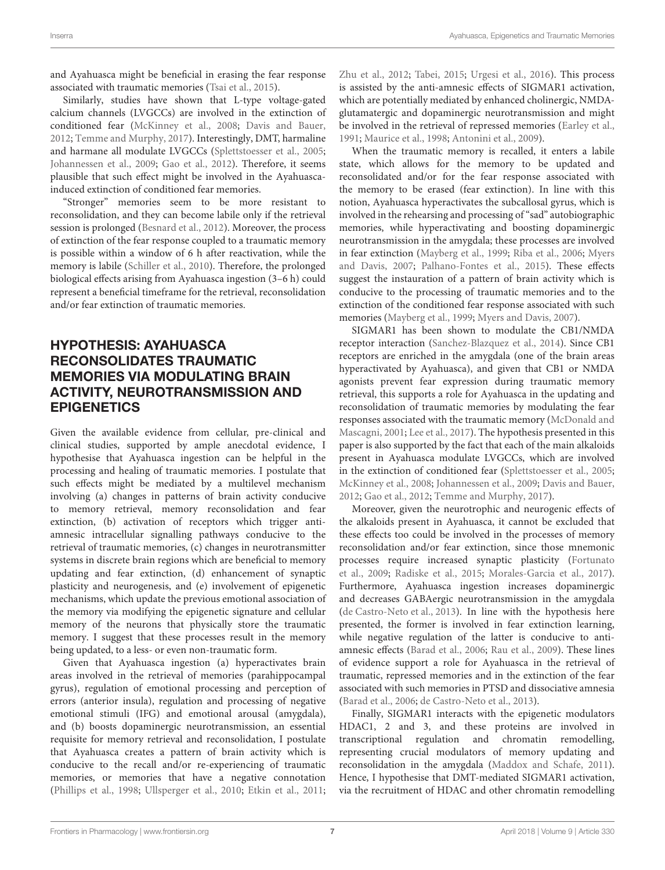and Ayahuasca might be beneficial in erasing the fear response associated with traumatic memories [\(Tsai et al.,](#page-11-19) [2015\)](#page-11-19).

Similarly, studies have shown that L-type voltage-gated calcium channels (LVGCCs) are involved in the extinction of conditioned fear [\(McKinney et al.,](#page-10-32) [2008;](#page-10-32) [Davis and Bauer,](#page-9-31) [2012;](#page-9-31) [Temme and Murphy,](#page-11-32) [2017\)](#page-11-32). Interestingly, DMT, harmaline and harmane all modulate LVGCCs [\(Splettstoesser et al.,](#page-11-33) [2005;](#page-11-33) [Johannessen et al.,](#page-10-33) [2009;](#page-10-33) [Gao et al.,](#page-10-34) [2012\)](#page-10-34). Therefore, it seems plausible that such effect might be involved in the Ayahuascainduced extinction of conditioned fear memories.

"Stronger" memories seem to be more resistant to reconsolidation, and they can become labile only if the retrieval session is prolonged [\(Besnard et al.,](#page-9-32) [2012\)](#page-9-32). Moreover, the process of extinction of the fear response coupled to a traumatic memory is possible within a window of 6 h after reactivation, while the memory is labile [\(Schiller et al.,](#page-11-31) [2010\)](#page-11-31). Therefore, the prolonged biological effects arising from Ayahuasca ingestion (3–6 h) could represent a beneficial timeframe for the retrieval, reconsolidation and/or fear extinction of traumatic memories.

# HYPOTHESIS: AYAHUASCA RECONSOLIDATES TRAUMATIC MEMORIES VIA MODULATING BRAIN ACTIVITY, NEUROTRANSMISSION AND **EPIGENETICS**

Given the available evidence from cellular, pre-clinical and clinical studies, supported by ample anecdotal evidence, I hypothesise that Ayahuasca ingestion can be helpful in the processing and healing of traumatic memories. I postulate that such effects might be mediated by a multilevel mechanism involving (a) changes in patterns of brain activity conducive to memory retrieval, memory reconsolidation and fear extinction, (b) activation of receptors which trigger antiamnesic intracellular signalling pathways conducive to the retrieval of traumatic memories, (c) changes in neurotransmitter systems in discrete brain regions which are beneficial to memory updating and fear extinction, (d) enhancement of synaptic plasticity and neurogenesis, and (e) involvement of epigenetic mechanisms, which update the previous emotional association of the memory via modifying the epigenetic signature and cellular memory of the neurons that physically store the traumatic memory. I suggest that these processes result in the memory being updated, to a less- or even non-traumatic form.

Given that Ayahuasca ingestion (a) hyperactivates brain areas involved in the retrieval of memories (parahippocampal gyrus), regulation of emotional processing and perception of errors (anterior insula), regulation and processing of negative emotional stimuli (IFG) and emotional arousal (amygdala), and (b) boosts dopaminergic neurotransmission, an essential requisite for memory retrieval and reconsolidation, I postulate that Ayahuasca creates a pattern of brain activity which is conducive to the recall and/or re-experiencing of traumatic memories, or memories that have a negative connotation [\(Phillips et al.,](#page-11-11) [1998;](#page-11-11) [Ullsperger et al.,](#page-11-12) [2010;](#page-11-12) [Etkin et al.,](#page-9-4) [2011;](#page-9-4)

[Zhu et al.,](#page-12-0) [2012;](#page-12-0) [Tabei,](#page-11-8) [2015;](#page-11-8) [Urgesi et al.,](#page-11-9) [2016\)](#page-11-9). This process is assisted by the anti-amnesic effects of SIGMAR1 activation, which are potentially mediated by enhanced cholinergic, NMDAglutamatergic and dopaminergic neurotransmission and might be involved in the retrieval of repressed memories [\(Earley et al.,](#page-9-15) [1991;](#page-9-15) [Maurice et al.,](#page-10-12) [1998;](#page-10-12) [Antonini et al.,](#page-9-16) [2009\)](#page-9-16).

When the traumatic memory is recalled, it enters a labile state, which allows for the memory to be updated and reconsolidated and/or for the fear response associated with the memory to be erased (fear extinction). In line with this notion, Ayahuasca hyperactivates the subcallosal gyrus, which is involved in the rehearsing and processing of "sad" autobiographic memories, while hyperactivating and boosting dopaminergic neurotransmission in the amygdala; these processes are involved in fear extinction [\(Mayberg et al.,](#page-10-1) [1999;](#page-10-1) [Riba et al.,](#page-11-6) [2006;](#page-11-6) [Myers](#page-10-0) [and Davis,](#page-10-0) [2007;](#page-10-0) [Palhano-Fontes et al.,](#page-11-7) [2015\)](#page-11-7). These effects suggest the instauration of a pattern of brain activity which is conducive to the processing of traumatic memories and to the extinction of the conditioned fear response associated with such memories [\(Mayberg et al.,](#page-10-1) [1999;](#page-10-1) [Myers and Davis,](#page-10-0) [2007\)](#page-10-0).

SIGMAR1 has been shown to modulate the CB1/NMDA receptor interaction [\(Sanchez-Blazquez et al.,](#page-11-22) [2014\)](#page-11-22). Since CB1 receptors are enriched in the amygdala (one of the brain areas hyperactivated by Ayahuasca), and given that CB1 or NMDA agonists prevent fear expression during traumatic memory retrieval, this supports a role for Ayahuasca in the updating and reconsolidation of traumatic memories by modulating the fear responses associated with the traumatic memory [\(McDonald and](#page-10-18) [Mascagni,](#page-10-18) [2001;](#page-10-18) [Lee et al.,](#page-10-19) [2017\)](#page-10-19). The hypothesis presented in this paper is also supported by the fact that each of the main alkaloids present in Ayahuasca modulate LVGCCs, which are involved in the extinction of conditioned fear [\(Splettstoesser et al.,](#page-11-33) [2005;](#page-11-33) [McKinney et al.,](#page-10-32) [2008;](#page-10-32) [Johannessen et al.,](#page-10-33) [2009;](#page-10-33) [Davis and Bauer,](#page-9-31) [2012;](#page-9-31) [Gao et al.,](#page-10-34) [2012;](#page-10-34) [Temme and Murphy,](#page-11-32) [2017\)](#page-11-32).

Moreover, given the neurotrophic and neurogenic effects of the alkaloids present in Ayahuasca, it cannot be excluded that these effects too could be involved in the processes of memory reconsolidation and/or fear extinction, since those mnemonic processes require increased synaptic plasticity [\(Fortunato](#page-9-9) [et al.,](#page-9-9) [2009;](#page-9-9) [Radiske et al.,](#page-11-16) [2015;](#page-11-16) [Morales-Garcia et al.,](#page-10-6) [2017\)](#page-10-6). Furthermore, Ayahuasca ingestion increases dopaminergic and decreases GABAergic neurotransmission in the amygdala [\(de Castro-Neto et al.,](#page-9-6) [2013\)](#page-9-6). In line with the hypothesis here presented, the former is involved in fear extinction learning, while negative regulation of the latter is conducive to antiamnesic effects [\(Barad et al.,](#page-9-33) [2006;](#page-9-33) [Rau et al.,](#page-11-15) [2009\)](#page-11-15). These lines of evidence support a role for Ayahuasca in the retrieval of traumatic, repressed memories and in the extinction of the fear associated with such memories in PTSD and dissociative amnesia [\(Barad et al.,](#page-9-33) [2006;](#page-9-33) [de Castro-Neto et al.,](#page-9-6) [2013\)](#page-9-6).

Finally, SIGMAR1 interacts with the epigenetic modulators HDAC1, 2 and 3, and these proteins are involved in transcriptional regulation and chromatin remodelling, representing crucial modulators of memory updating and reconsolidation in the amygdala [\(Maddox and Schafe,](#page-10-35) [2011\)](#page-10-35). Hence, I hypothesise that DMT-mediated SIGMAR1 activation, via the recruitment of HDAC and other chromatin remodelling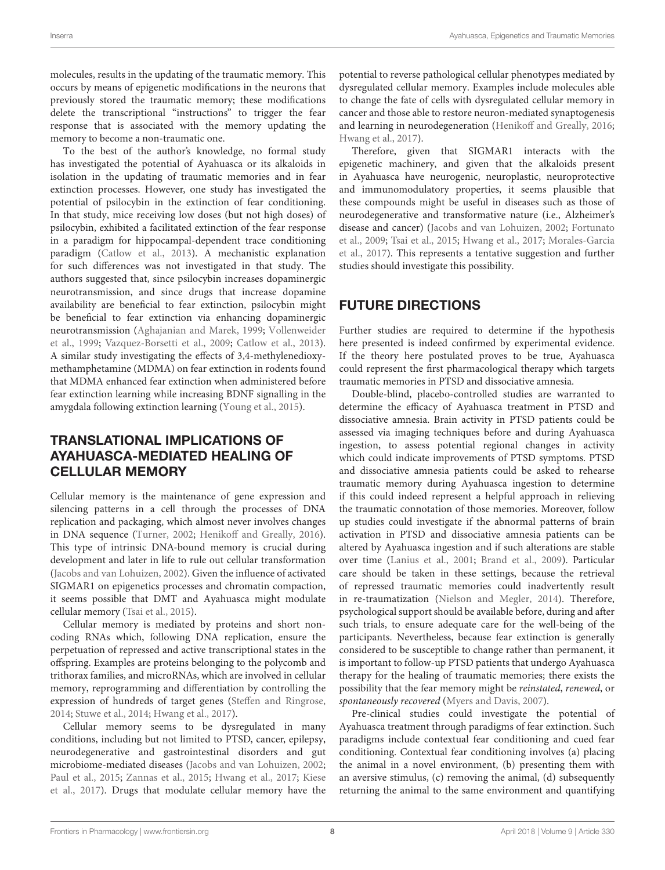molecules, results in the updating of the traumatic memory. This occurs by means of epigenetic modifications in the neurons that previously stored the traumatic memory; these modifications delete the transcriptional "instructions" to trigger the fear response that is associated with the memory updating the memory to become a non-traumatic one.

To the best of the author's knowledge, no formal study has investigated the potential of Ayahuasca or its alkaloids in isolation in the updating of traumatic memories and in fear extinction processes. However, one study has investigated the potential of psilocybin in the extinction of fear conditioning. In that study, mice receiving low doses (but not high doses) of psilocybin, exhibited a facilitated extinction of the fear response in a paradigm for hippocampal-dependent trace conditioning paradigm [\(Catlow et al.,](#page-9-34) [2013\)](#page-9-34). A mechanistic explanation for such differences was not investigated in that study. The authors suggested that, since psilocybin increases dopaminergic neurotransmission, and since drugs that increase dopamine availability are beneficial to fear extinction, psilocybin might be beneficial to fear extinction via enhancing dopaminergic neurotransmission [\(Aghajanian and Marek,](#page-8-3) [1999;](#page-8-3) [Vollenweider](#page-12-5) [et al.,](#page-12-5) [1999;](#page-12-5) [Vazquez-Borsetti et al.,](#page-11-34) [2009;](#page-11-34) [Catlow et al.,](#page-9-34) [2013\)](#page-9-34). A similar study investigating the effects of 3,4-methylenedioxymethamphetamine (MDMA) on fear extinction in rodents found that MDMA enhanced fear extinction when administered before fear extinction learning while increasing BDNF signalling in the amygdala following extinction learning [\(Young et al.,](#page-12-6) [2015\)](#page-12-6).

#### TRANSLATIONAL IMPLICATIONS OF AYAHUASCA-MEDIATED HEALING OF CELLULAR MEMORY

Cellular memory is the maintenance of gene expression and silencing patterns in a cell through the processes of DNA replication and packaging, which almost never involves changes in DNA sequence [\(Turner,](#page-11-35) [2002;](#page-11-35) [Henikoff and Greally,](#page-10-36) [2016\)](#page-10-36). This type of intrinsic DNA-bound memory is crucial during development and later in life to rule out cellular transformation [\(Jacobs and van Lohuizen,](#page-10-37) [2002\)](#page-10-37). Given the influence of activated SIGMAR1 on epigenetics processes and chromatin compaction, it seems possible that DMT and Ayahuasca might modulate cellular memory [\(Tsai et al.,](#page-11-19) [2015\)](#page-11-19).

Cellular memory is mediated by proteins and short noncoding RNAs which, following DNA replication, ensure the perpetuation of repressed and active transcriptional states in the offspring. Examples are proteins belonging to the polycomb and trithorax families, and microRNAs, which are involved in cellular memory, reprogramming and differentiation by controlling the expression of hundreds of target genes [\(Steffen and Ringrose,](#page-11-36) [2014;](#page-11-36) [Stuwe et al.,](#page-11-37) [2014;](#page-11-37) [Hwang et al.,](#page-10-38) [2017\)](#page-10-38).

Cellular memory seems to be dysregulated in many conditions, including but not limited to PTSD, cancer, epilepsy, neurodegenerative and gastrointestinal disorders and gut microbiome-mediated diseases [\(Jacobs and van Lohuizen,](#page-10-37) [2002;](#page-10-37) [Paul et al.,](#page-11-38) [2015;](#page-11-38) [Zannas et al.,](#page-12-3) [2015;](#page-12-3) [Hwang et al.,](#page-10-38) [2017;](#page-10-38) [Kiese](#page-10-39) [et al.,](#page-10-39) [2017\)](#page-10-39). Drugs that modulate cellular memory have the

potential to reverse pathological cellular phenotypes mediated by dysregulated cellular memory. Examples include molecules able to change the fate of cells with dysregulated cellular memory in cancer and those able to restore neuron-mediated synaptogenesis and learning in neurodegeneration [\(Henikoff and Greally,](#page-10-36) [2016;](#page-10-36) [Hwang et al.,](#page-10-38) [2017\)](#page-10-38).

Therefore, given that SIGMAR1 interacts with the epigenetic machinery, and given that the alkaloids present in Ayahuasca have neurogenic, neuroplastic, neuroprotective and immunomodulatory properties, it seems plausible that these compounds might be useful in diseases such as those of neurodegenerative and transformative nature (i.e., Alzheimer's disease and cancer) [\(Jacobs and van Lohuizen,](#page-10-37) [2002;](#page-10-37) [Fortunato](#page-9-9) [et al.,](#page-9-9) [2009;](#page-9-9) [Tsai et al.,](#page-11-19) [2015;](#page-11-19) [Hwang et al.,](#page-10-38) [2017;](#page-10-38) [Morales-Garcia](#page-10-6) [et al.,](#page-10-6) [2017\)](#page-10-6). This represents a tentative suggestion and further studies should investigate this possibility.

## FUTURE DIRECTIONS

Further studies are required to determine if the hypothesis here presented is indeed confirmed by experimental evidence. If the theory here postulated proves to be true, Ayahuasca could represent the first pharmacological therapy which targets traumatic memories in PTSD and dissociative amnesia.

Double-blind, placebo-controlled studies are warranted to determine the efficacy of Ayahuasca treatment in PTSD and dissociative amnesia. Brain activity in PTSD patients could be assessed via imaging techniques before and during Ayahuasca ingestion, to assess potential regional changes in activity which could indicate improvements of PTSD symptoms. PTSD and dissociative amnesia patients could be asked to rehearse traumatic memory during Ayahuasca ingestion to determine if this could indeed represent a helpful approach in relieving the traumatic connotation of those memories. Moreover, follow up studies could investigate if the abnormal patterns of brain activation in PTSD and dissociative amnesia patients can be altered by Ayahuasca ingestion and if such alterations are stable over time [\(Lanius et al.,](#page-10-24) [2001;](#page-10-24) [Brand et al.,](#page-9-29) [2009\)](#page-9-29). Particular care should be taken in these settings, because the retrieval of repressed traumatic memories could inadvertently result in re-traumatization [\(Nielson and Megler,](#page-11-5) [2014\)](#page-11-5). Therefore, psychological support should be available before, during and after such trials, to ensure adequate care for the well-being of the participants. Nevertheless, because fear extinction is generally considered to be susceptible to change rather than permanent, it is important to follow-up PTSD patients that undergo Ayahuasca therapy for the healing of traumatic memories; there exists the possibility that the fear memory might be reinstated, renewed, or spontaneously recovered [\(Myers and Davis,](#page-10-0) [2007\)](#page-10-0).

Pre-clinical studies could investigate the potential of Ayahuasca treatment through paradigms of fear extinction. Such paradigms include contextual fear conditioning and cued fear conditioning. Contextual fear conditioning involves (a) placing the animal in a novel environment, (b) presenting them with an aversive stimulus, (c) removing the animal, (d) subsequently returning the animal to the same environment and quantifying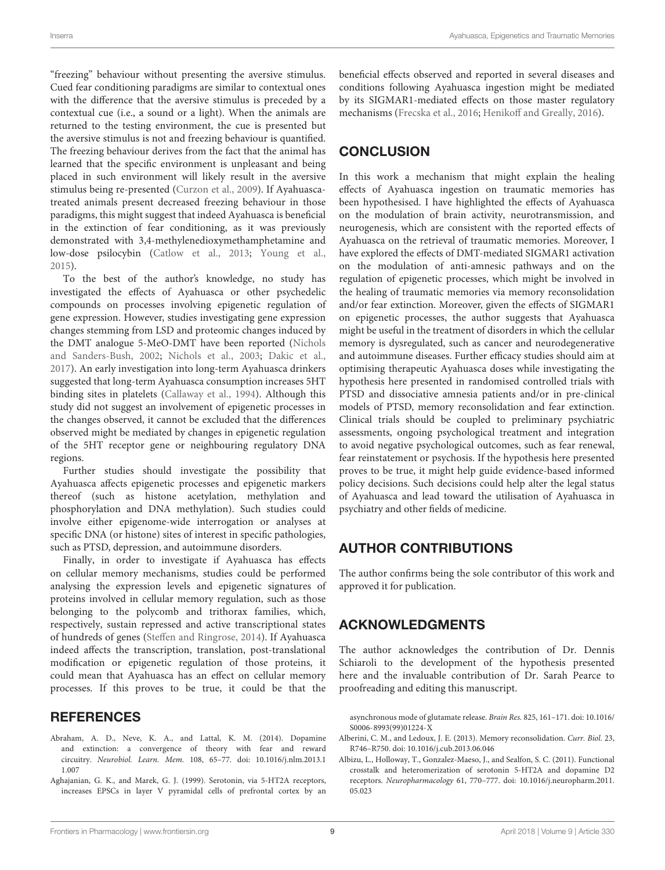"freezing" behaviour without presenting the aversive stimulus. Cued fear conditioning paradigms are similar to contextual ones with the difference that the aversive stimulus is preceded by a contextual cue (i.e., a sound or a light). When the animals are returned to the testing environment, the cue is presented but the aversive stimulus is not and freezing behaviour is quantified. The freezing behaviour derives from the fact that the animal has learned that the specific environment is unpleasant and being placed in such environment will likely result in the aversive stimulus being re-presented [\(Curzon et al.,](#page-9-35) [2009\)](#page-9-35). If Ayahuascatreated animals present decreased freezing behaviour in those paradigms, this might suggest that indeed Ayahuasca is beneficial in the extinction of fear conditioning, as it was previously demonstrated with 3,4-methylenedioxymethamphetamine and low-dose psilocybin [\(Catlow et al.,](#page-9-34) [2013;](#page-9-34) [Young et al.,](#page-12-6) [2015\)](#page-12-6).

To the best of the author's knowledge, no study has investigated the effects of Ayahuasca or other psychedelic compounds on processes involving epigenetic regulation of gene expression. However, studies investigating gene expression changes stemming from LSD and proteomic changes induced by the DMT analogue 5-MeO-DMT have been reported [\(Nichols](#page-11-39) [and Sanders-Bush,](#page-11-39) [2002;](#page-11-39) [Nichols et al.,](#page-11-40) [2003;](#page-11-40) [Dakic et al.,](#page-9-30) [2017\)](#page-9-30). An early investigation into long-term Ayahuasca drinkers suggested that long-term Ayahuasca consumption increases 5HT binding sites in platelets [\(Callaway et al.,](#page-9-36) [1994\)](#page-9-36). Although this study did not suggest an involvement of epigenetic processes in the changes observed, it cannot be excluded that the differences observed might be mediated by changes in epigenetic regulation of the 5HT receptor gene or neighbouring regulatory DNA regions.

Further studies should investigate the possibility that Ayahuasca affects epigenetic processes and epigenetic markers thereof (such as histone acetylation, methylation and phosphorylation and DNA methylation). Such studies could involve either epigenome-wide interrogation or analyses at specific DNA (or histone) sites of interest in specific pathologies, such as PTSD, depression, and autoimmune disorders.

Finally, in order to investigate if Ayahuasca has effects on cellular memory mechanisms, studies could be performed analysing the expression levels and epigenetic signatures of proteins involved in cellular memory regulation, such as those belonging to the polycomb and trithorax families, which, respectively, sustain repressed and active transcriptional states of hundreds of genes [\(Steffen and Ringrose,](#page-11-36) [2014\)](#page-11-36). If Ayahuasca indeed affects the transcription, translation, post-translational modification or epigenetic regulation of those proteins, it could mean that Ayahuasca has an effect on cellular memory processes. If this proves to be true, it could be that the

#### **REFERENCES**

- <span id="page-8-0"></span>Abraham, A. D., Neve, K. A., and Lattal, K. M. (2014). Dopamine and extinction: a convergence of theory with fear and reward circuitry. Neurobiol. Learn. Mem. 108, 65–77. [doi: 10.1016/j.nlm.2013.1](https://doi.org/10.1016/j.nlm.2013.11.007) [1.007](https://doi.org/10.1016/j.nlm.2013.11.007)
- <span id="page-8-3"></span>Aghajanian, G. K., and Marek, G. J. (1999). Serotonin, via 5-HT2A receptors, increases EPSCs in layer V pyramidal cells of prefrontal cortex by an

beneficial effects observed and reported in several diseases and conditions following Ayahuasca ingestion might be mediated by its SIGMAR1-mediated effects on those master regulatory mechanisms [\(Frecska et al.,](#page-9-0) [2016;](#page-9-0) [Henikoff and Greally,](#page-10-36) [2016\)](#page-10-36).

#### **CONCLUSION**

In this work a mechanism that might explain the healing effects of Ayahuasca ingestion on traumatic memories has been hypothesised. I have highlighted the effects of Ayahuasca on the modulation of brain activity, neurotransmission, and neurogenesis, which are consistent with the reported effects of Ayahuasca on the retrieval of traumatic memories. Moreover, I have explored the effects of DMT-mediated SIGMAR1 activation on the modulation of anti-amnesic pathways and on the regulation of epigenetic processes, which might be involved in the healing of traumatic memories via memory reconsolidation and/or fear extinction. Moreover, given the effects of SIGMAR1 on epigenetic processes, the author suggests that Ayahuasca might be useful in the treatment of disorders in which the cellular memory is dysregulated, such as cancer and neurodegenerative and autoimmune diseases. Further efficacy studies should aim at optimising therapeutic Ayahuasca doses while investigating the hypothesis here presented in randomised controlled trials with PTSD and dissociative amnesia patients and/or in pre-clinical models of PTSD, memory reconsolidation and fear extinction. Clinical trials should be coupled to preliminary psychiatric assessments, ongoing psychological treatment and integration to avoid negative psychological outcomes, such as fear renewal, fear reinstatement or psychosis. If the hypothesis here presented proves to be true, it might help guide evidence-based informed policy decisions. Such decisions could help alter the legal status of Ayahuasca and lead toward the utilisation of Ayahuasca in psychiatry and other fields of medicine.

#### AUTHOR CONTRIBUTIONS

The author confirms being the sole contributor of this work and approved it for publication.

#### ACKNOWLEDGMENTS

The author acknowledges the contribution of Dr. Dennis Schiaroli to the development of the hypothesis presented here and the invaluable contribution of Dr. Sarah Pearce to proofreading and editing this manuscript.

asynchronous mode of glutamate release. Brain Res. 825, 161–171. [doi: 10.1016/](https://doi.org/10.1016/S0006-8993(99)01224-X) [S0006-8993\(99\)01224-X](https://doi.org/10.1016/S0006-8993(99)01224-X)

- <span id="page-8-2"></span>Alberini, C. M., and Ledoux, J. E. (2013). Memory reconsolidation. Curr. Biol. 23, R746–R750. [doi: 10.1016/j.cub.2013.06.046](https://doi.org/10.1016/j.cub.2013.06.046)
- <span id="page-8-1"></span>Albizu, L., Holloway, T., Gonzalez-Maeso, J., and Sealfon, S. C. (2011). Functional crosstalk and heteromerization of serotonin 5-HT2A and dopamine D2 receptors. Neuropharmacology 61, 770–777. [doi: 10.1016/j.neuropharm.2011.](https://doi.org/10.1016/j.neuropharm.2011.05.023) [05.023](https://doi.org/10.1016/j.neuropharm.2011.05.023)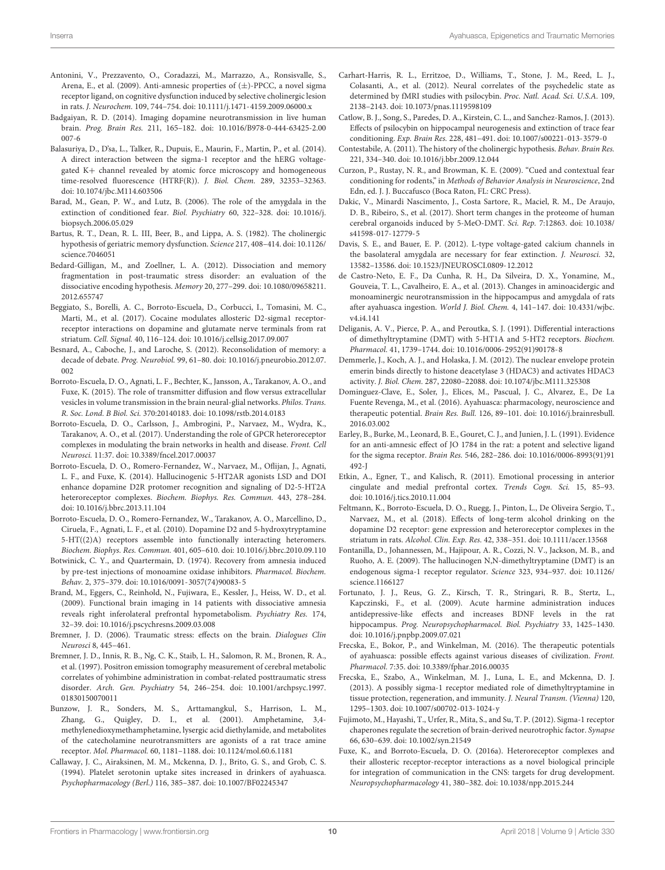- <span id="page-9-16"></span>Antonini, V., Prezzavento, O., Coradazzi, M., Marrazzo, A., Ronsisvalle, S., Arena, E., et al. (2009). Anti-amnesic properties of (±)-PPCC, a novel sigma receptor ligand, on cognitive dysfunction induced by selective cholinergic lesion in rats. J. Neurochem. 109, 744–754. [doi: 10.1111/j.1471-4159.2009.06000.x](https://doi.org/10.1111/j.1471-4159.2009.06000.x)
- <span id="page-9-7"></span>Badgaiyan, R. D. (2014). Imaging dopamine neurotransmission in live human brain. Prog. Brain Res. 211, 165–182. [doi: 10.1016/B978-0-444-63425-2.00](https://doi.org/10.1016/B978-0-444-63425-2.00007-6) [007-6](https://doi.org/10.1016/B978-0-444-63425-2.00007-6)
- <span id="page-9-12"></span>Balasuriya, D., D'sa, L., Talker, R., Dupuis, E., Maurin, F., Martin, P., et al. (2014). A direct interaction between the sigma-1 receptor and the hERG voltagegated K+ channel revealed by atomic force microscopy and homogeneous time-resolved fluorescence (HTRF(R)). J. Biol. Chem. 289, 32353–32363. [doi: 10.1074/jbc.M114.603506](https://doi.org/10.1074/jbc.M114.603506)
- <span id="page-9-33"></span>Barad, M., Gean, P. W., and Lutz, B. (2006). The role of the amygdala in the extinction of conditioned fear. Biol. Psychiatry 60, 322–328. [doi: 10.1016/j.](https://doi.org/10.1016/j.biopsych.2006.05.029) [biopsych.2006.05.029](https://doi.org/10.1016/j.biopsych.2006.05.029)
- <span id="page-9-22"></span>Bartus, R. T., Dean, R. L. III, Beer, B., and Lippa, A. S. (1982). The cholinergic hypothesis of geriatric memory dysfunction. Science 217, 408–414. [doi: 10.1126/](https://doi.org/10.1126/science.7046051) [science.7046051](https://doi.org/10.1126/science.7046051)
- <span id="page-9-24"></span>Bedard-Gilligan, M., and Zoellner, L. A. (2012). Dissociation and memory fragmentation in post-traumatic stress disorder: an evaluation of the dissociative encoding hypothesis. Memory 20, 277–299. [doi: 10.1080/09658211.](https://doi.org/10.1080/09658211.2012.655747) [2012.655747](https://doi.org/10.1080/09658211.2012.655747)
- <span id="page-9-13"></span>Beggiato, S., Borelli, A. C., Borroto-Escuela, D., Corbucci, I., Tomasini, M. C., Marti, M., et al. (2017). Cocaine modulates allosteric D2-sigma1 receptorreceptor interactions on dopamine and glutamate nerve terminals from rat striatum. Cell. Signal. 40, 116–124. [doi: 10.1016/j.cellsig.2017.09.007](https://doi.org/10.1016/j.cellsig.2017.09.007)
- <span id="page-9-32"></span>Besnard, A., Caboche, J., and Laroche, S. (2012). Reconsolidation of memory: a decade of debate. Prog. Neurobiol. 99, 61–80. [doi: 10.1016/j.pneurobio.2012.07.](https://doi.org/10.1016/j.pneurobio.2012.07.002) [002](https://doi.org/10.1016/j.pneurobio.2012.07.002)
- <span id="page-9-25"></span>Borroto-Escuela, D. O., Agnati, L. F., Bechter, K., Jansson, A., Tarakanov, A. O., and Fuxe, K. (2015). The role of transmitter diffusion and flow versus extracellular vesicles in volume transmission in the brain neural-glial networks. Philos. Trans. R. Soc. Lond. B Biol. Sci. 370:20140183. [doi: 10.1098/rstb.2014.0183](https://doi.org/10.1098/rstb.2014.0183)
- <span id="page-9-19"></span>Borroto-Escuela, D. O., Carlsson, J., Ambrogini, P., Narvaez, M., Wydra, K., Tarakanov, A. O., et al. (2017). Understanding the role of GPCR heteroreceptor complexes in modulating the brain networks in health and disease. Front. Cell Neurosci. 11:37. [doi: 10.3389/fncel.2017.00037](https://doi.org/10.3389/fncel.2017.00037)
- <span id="page-9-18"></span>Borroto-Escuela, D. O., Romero-Fernandez, W., Narvaez, M., Oflijan, J., Agnati, L. F., and Fuxe, K. (2014). Hallucinogenic 5-HT2AR agonists LSD and DOI enhance dopamine D2R protomer recognition and signaling of D2-5-HT2A heteroreceptor complexes. Biochem. Biophys. Res. Commun. 443, 278–284. [doi: 10.1016/j.bbrc.2013.11.104](https://doi.org/10.1016/j.bbrc.2013.11.104)
- <span id="page-9-17"></span>Borroto-Escuela, D. O., Romero-Fernandez, W., Tarakanov, A. O., Marcellino, D., Ciruela, F., Agnati, L. F., et al. (2010). Dopamine D2 and 5-hydroxytryptamine 5-HT((2)A) receptors assemble into functionally interacting heteromers. Biochem. Biophys. Res. Commun. 401, 605–610. [doi: 10.1016/j.bbrc.2010.09.110](https://doi.org/10.1016/j.bbrc.2010.09.110)
- <span id="page-9-20"></span>Botwinick, C. Y., and Quartermain, D. (1974). Recovery from amnesia induced by pre-test injections of monoamine oxidase inhibitors. Pharmacol. Biochem. Behav. 2, 375–379. [doi: 10.1016/0091-3057\(74\)90083-5](https://doi.org/10.1016/0091-3057(74)90083-5)
- <span id="page-9-29"></span>Brand, M., Eggers, C., Reinhold, N., Fujiwara, E., Kessler, J., Heiss, W. D., et al. (2009). Functional brain imaging in 14 patients with dissociative amnesia reveals right inferolateral prefrontal hypometabolism. Psychiatry Res. 174, 32–39. [doi: 10.1016/j.pscychresns.2009.03.008](https://doi.org/10.1016/j.pscychresns.2009.03.008)
- <span id="page-9-27"></span>Bremner, J. D. (2006). Traumatic stress: effects on the brain. Dialogues Clin Neurosci 8, 445–461.
- <span id="page-9-28"></span>Bremner, J. D., Innis, R. B., Ng, C. K., Staib, L. H., Salomon, R. M., Bronen, R. A., et al. (1997). Positron emission tomography measurement of cerebral metabolic correlates of yohimbine administration in combat-related posttraumatic stress disorder. Arch. Gen. Psychiatry 54, 246–254. [doi: 10.1001/archpsyc.1997.](https://doi.org/10.1001/archpsyc.1997.01830150070011) [01830150070011](https://doi.org/10.1001/archpsyc.1997.01830150070011)
- <span id="page-9-2"></span>Bunzow, J. R., Sonders, M. S., Arttamangkul, S., Harrison, L. M., Zhang, G., Quigley, D. I., et al. (2001). Amphetamine, 3,4 methylenedioxymethamphetamine, lysergic acid diethylamide, and metabolites of the catecholamine neurotransmitters are agonists of a rat trace amine receptor. Mol. Pharmacol. 60, 1181–1188. [doi: 10.1124/mol.60.6.1181](https://doi.org/10.1124/mol.60.6.1181)
- <span id="page-9-36"></span>Callaway, J. C., Airaksinen, M. M., Mckenna, D. J., Brito, G. S., and Grob, C. S. (1994). Platelet serotonin uptake sites increased in drinkers of ayahuasca. Psychopharmacology (Berl.) 116, 385–387. [doi: 10.1007/BF02245347](https://doi.org/10.1007/BF02245347)
- <span id="page-9-5"></span>Carhart-Harris, R. L., Erritzoe, D., Williams, T., Stone, J. M., Reed, L. J., Colasanti, A., et al. (2012). Neural correlates of the psychedelic state as determined by fMRI studies with psilocybin. Proc. Natl. Acad. Sci. U.S.A. 109, 2138–2143. [doi: 10.1073/pnas.1119598109](https://doi.org/10.1073/pnas.1119598109)
- <span id="page-9-34"></span>Catlow, B. J., Song, S., Paredes, D. A., Kirstein, C. L., and Sanchez-Ramos, J. (2013). Effects of psilocybin on hippocampal neurogenesis and extinction of trace fear conditioning. Exp. Brain Res. 228, 481–491. [doi: 10.1007/s00221-013-3579-0](https://doi.org/10.1007/s00221-013-3579-0)
- <span id="page-9-23"></span>Contestabile, A. (2011). The history of the cholinergic hypothesis. Behav. Brain Res. 221, 334–340. [doi: 10.1016/j.bbr.2009.12.044](https://doi.org/10.1016/j.bbr.2009.12.044)
- <span id="page-9-35"></span>Curzon, P., Rustay, N. R., and Browman, K. E. (2009). "Cued and contextual fear conditioning for rodents," in Methods of Behavior Analysis in Neuroscience, 2nd Edn, ed. J. J. Buccafusco (Boca Raton, FL: CRC Press).
- <span id="page-9-30"></span>Dakic, V., Minardi Nascimento, J., Costa Sartore, R., Maciel, R. M., De Araujo, D. B., Ribeiro, S., et al. (2017). Short term changes in the proteome of human cerebral organoids induced by 5-MeO-DMT. Sci. Rep. 7:12863. [doi: 10.1038/](https://doi.org/10.1038/s41598-017-12779-5) [s41598-017-12779-5](https://doi.org/10.1038/s41598-017-12779-5)
- <span id="page-9-31"></span>Davis, S. E., and Bauer, E. P. (2012). L-type voltage-gated calcium channels in the basolateral amygdala are necessary for fear extinction. J. Neurosci. 32, 13582–13586. [doi: 10.1523/JNEUROSCI.0809-12.2012](https://doi.org/10.1523/JNEUROSCI.0809-12.2012)
- <span id="page-9-6"></span>de Castro-Neto, E. F., Da Cunha, R. H., Da Silveira, D. X., Yonamine, M., Gouveia, T. L., Cavalheiro, E. A., et al. (2013). Changes in aminoacidergic and monoaminergic neurotransmission in the hippocampus and amygdala of rats after ayahuasca ingestion. World J. Biol. Chem. 4, 141–147. [doi: 10.4331/wjbc.](https://doi.org/10.4331/wjbc.v4.i4.141) [v4.i4.141](https://doi.org/10.4331/wjbc.v4.i4.141)
- <span id="page-9-1"></span>Deliganis, A. V., Pierce, P. A., and Peroutka, S. J. (1991). Differential interactions of dimethyltryptamine (DMT) with 5-HT1A and 5-HT2 receptors. Biochem. Pharmacol. 41, 1739–1744. [doi: 10.1016/0006-2952\(91\)90178-8](https://doi.org/10.1016/0006-2952(91)90178-8)
- <span id="page-9-21"></span>Demmerle, J., Koch, A. J., and Holaska, J. M. (2012). The nuclear envelope protein emerin binds directly to histone deacetylase 3 (HDAC3) and activates HDAC3 activity. J. Biol. Chem. 287, 22080–22088. [doi: 10.1074/jbc.M111.325308](https://doi.org/10.1074/jbc.M111.325308)
- <span id="page-9-8"></span>Dominguez-Clave, E., Soler, J., Elices, M., Pascual, J. C., Alvarez, E., De La Fuente Revenga, M., et al. (2016). Ayahuasca: pharmacology, neuroscience and therapeutic potential. Brain Res. Bull. 126, 89–101. [doi: 10.1016/j.brainresbull.](https://doi.org/10.1016/j.brainresbull.2016.03.002) [2016.03.002](https://doi.org/10.1016/j.brainresbull.2016.03.002)
- <span id="page-9-15"></span>Earley, B., Burke, M., Leonard, B. E., Gouret, C. J., and Junien, J. L. (1991). Evidence for an anti-amnesic effect of JO 1784 in the rat: a potent and selective ligand for the sigma receptor. Brain Res. 546, 282–286. [doi: 10.1016/0006-8993\(91\)91](https://doi.org/10.1016/0006-8993(91)91492-J) [492-J](https://doi.org/10.1016/0006-8993(91)91492-J)
- <span id="page-9-4"></span>Etkin, A., Egner, T., and Kalisch, R. (2011). Emotional processing in anterior cingulate and medial prefrontal cortex. Trends Cogn. Sci. 15, 85–93. [doi: 10.1016/j.tics.2010.11.004](https://doi.org/10.1016/j.tics.2010.11.004)
- <span id="page-9-14"></span>Feltmann, K., Borroto-Escuela, D. O., Ruegg, J., Pinton, L., De Oliveira Sergio, T., Narvaez, M., et al. (2018). Effects of long-term alcohol drinking on the dopamine D2 receptor: gene expression and heteroreceptor complexes in the striatum in rats. Alcohol. Clin. Exp. Res. 42, 338–351. [doi: 10.1111/acer.13568](https://doi.org/10.1111/acer.13568)
- <span id="page-9-3"></span>Fontanilla, D., Johannessen, M., Hajipour, A. R., Cozzi, N. V., Jackson, M. B., and Ruoho, A. E. (2009). The hallucinogen N,N-dimethyltryptamine (DMT) is an endogenous sigma-1 receptor regulator. Science 323, 934–937. [doi: 10.1126/](https://doi.org/10.1126/science.1166127) [science.1166127](https://doi.org/10.1126/science.1166127)
- <span id="page-9-9"></span>Fortunato, J. J., Reus, G. Z., Kirsch, T. R., Stringari, R. B., Stertz, L., Kapczinski, F., et al. (2009). Acute harmine administration induces antidepressive-like effects and increases BDNF levels in the rat hippocampus. Prog. Neuropsychopharmacol. Biol. Psychiatry 33, 1425–1430. [doi: 10.1016/j.pnpbp.2009.07.021](https://doi.org/10.1016/j.pnpbp.2009.07.021)
- <span id="page-9-0"></span>Frecska, E., Bokor, P., and Winkelman, M. (2016). The therapeutic potentials of ayahuasca: possible effects against various diseases of civilization. Front. Pharmacol. 7:35. [doi: 10.3389/fphar.2016.00035](https://doi.org/10.3389/fphar.2016.00035)
- <span id="page-9-11"></span>Frecska, E., Szabo, A., Winkelman, M. J., Luna, L. E., and Mckenna, D. J. (2013). A possibly sigma-1 receptor mediated role of dimethyltryptamine in tissue protection, regeneration, and immunity. J. Neural Transm. (Vienna) 120, 1295–1303. [doi: 10.1007/s00702-013-1024-y](https://doi.org/10.1007/s00702-013-1024-y)
- <span id="page-9-10"></span>Fujimoto, M., Hayashi, T., Urfer, R., Mita, S., and Su, T. P. (2012). Sigma-1 receptor chaperones regulate the secretion of brain-derived neurotrophic factor. Synapse 66, 630–639. [doi: 10.1002/syn.21549](https://doi.org/10.1002/syn.21549)
- <span id="page-9-26"></span>Fuxe, K., and Borroto-Escuela, D. O. (2016a). Heteroreceptor complexes and their allosteric receptor-receptor interactions as a novel biological principle for integration of communication in the CNS: targets for drug development. Neuropsychopharmacology 41, 380–382. [doi: 10.1038/npp.2015.244](https://doi.org/10.1038/npp.2015.244)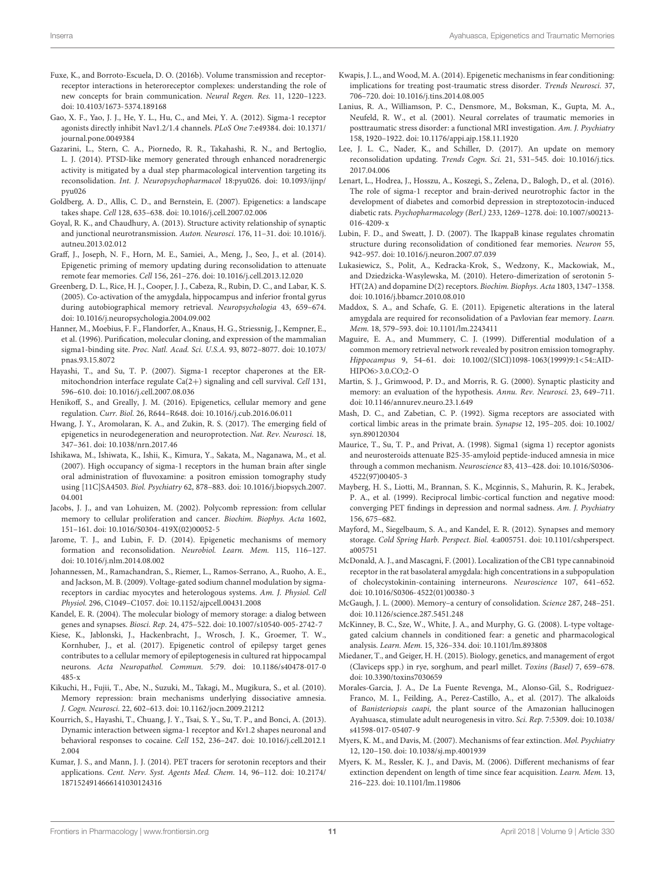- <span id="page-10-23"></span>Fuxe, K., and Borroto-Escuela, D. O. (2016b). Volume transmission and receptorreceptor interactions in heteroreceptor complexes: understanding the role of new concepts for brain communication. Neural Regen. Res. 11, 1220–1223. [doi: 10.4103/1673-5374.189168](https://doi.org/10.4103/1673-5374.189168)
- <span id="page-10-34"></span>Gao, X. F., Yao, J. J., He, Y. L., Hu, C., and Mei, Y. A. (2012). Sigma-1 receptor agonists directly inhibit Nav1.2/1.4 channels. PLoS One 7:e49384. [doi: 10.1371/](https://doi.org/10.1371/journal.pone.0049384) [journal.pone.0049384](https://doi.org/10.1371/journal.pone.0049384)
- <span id="page-10-30"></span>Gazarini, L., Stern, C. A., Piornedo, R. R., Takahashi, R. N., and Bertoglio, L. J. (2014). PTSD-like memory generated through enhanced noradrenergic activity is mitigated by a dual step pharmacological intervention targeting its reconsolidation. Int. J. Neuropsychopharmacol 18:pyu026. [doi: 10.1093/ijnp/](https://doi.org/10.1093/ijnp/pyu026) [pyu026](https://doi.org/10.1093/ijnp/pyu026)
- <span id="page-10-26"></span>Goldberg, A. D., Allis, C. D., and Bernstein, E. (2007). Epigenetics: a landscape takes shape. Cell 128, 635–638. [doi: 10.1016/j.cell.2007.02.006](https://doi.org/10.1016/j.cell.2007.02.006)
- <span id="page-10-14"></span>Goyal, R. K., and Chaudhury, A. (2013). Structure activity relationship of synaptic and junctional neurotransmission. Auton. Neurosci. 176, 11–31. [doi: 10.1016/j.](https://doi.org/10.1016/j.autneu.2013.02.012) [autneu.2013.02.012](https://doi.org/10.1016/j.autneu.2013.02.012)
- <span id="page-10-16"></span>Graff, J., Joseph, N. F., Horn, M. E., Samiei, A., Meng, J., Seo, J., et al. (2014). Epigenetic priming of memory updating during reconsolidation to attenuate remote fear memories. Cell 156, 261–276. [doi: 10.1016/j.cell.2013.12.020](https://doi.org/10.1016/j.cell.2013.12.020)
- <span id="page-10-2"></span>Greenberg, D. L., Rice, H. J., Cooper, J. J., Cabeza, R., Rubin, D. C., and Labar, K. S. (2005). Co-activation of the amygdala, hippocampus and inferior frontal gyrus during autobiographical memory retrieval. Neuropsychologia 43, 659–674. [doi: 10.1016/j.neuropsychologia.2004.09.002](https://doi.org/10.1016/j.neuropsychologia.2004.09.002)
- <span id="page-10-10"></span>Hanner, M., Moebius, F. F., Flandorfer, A., Knaus, H. G., Striessnig, J., Kempner, E., et al. (1996). Purification, molecular cloning, and expression of the mammalian sigma1-binding site. Proc. Natl. Acad. Sci. U.S.A. 93, 8072–8077. [doi: 10.1073/](https://doi.org/10.1073/pnas.93.15.8072) [pnas.93.15.8072](https://doi.org/10.1073/pnas.93.15.8072)
- <span id="page-10-8"></span>Hayashi, T., and Su, T. P. (2007). Sigma-1 receptor chaperones at the ERmitochondrion interface regulate Ca(2+) signaling and cell survival. Cell 131, 596–610. [doi: 10.1016/j.cell.2007.08.036](https://doi.org/10.1016/j.cell.2007.08.036)
- <span id="page-10-36"></span>Henikoff, S., and Greally, J. M. (2016). Epigenetics, cellular memory and gene regulation. Curr. Biol. 26, R644–R648. [doi: 10.1016/j.cub.2016.06.011](https://doi.org/10.1016/j.cub.2016.06.011)
- <span id="page-10-38"></span>Hwang, J. Y., Aromolaran, K. A., and Zukin, R. S. (2017). The emerging field of epigenetics in neurodegeneration and neuroprotection. Nat. Rev. Neurosci. 18, 347–361. [doi: 10.1038/nrn.2017.46](https://doi.org/10.1038/nrn.2017.46)
- <span id="page-10-7"></span>Ishikawa, M., Ishiwata, K., Ishii, K., Kimura, Y., Sakata, M., Naganawa, M., et al. (2007). High occupancy of sigma-1 receptors in the human brain after single oral administration of fluvoxamine: a positron emission tomography study using [11C]SA4503. Biol. Psychiatry 62, 878–883. [doi: 10.1016/j.biopsych.2007.](https://doi.org/10.1016/j.biopsych.2007.04.001) [04.001](https://doi.org/10.1016/j.biopsych.2007.04.001)
- <span id="page-10-37"></span>Jacobs, J. J., and van Lohuizen, M. (2002). Polycomb repression: from cellular memory to cellular proliferation and cancer. Biochim. Biophys. Acta 1602, 151–161. [doi: 10.1016/S0304-419X\(02\)00052-5](https://doi.org/10.1016/S0304-419X(02)00052-5)
- <span id="page-10-20"></span>Jarome, T. J., and Lubin, F. D. (2014). Epigenetic mechanisms of memory formation and reconsolidation. Neurobiol. Learn. Mem. 115, 116–127. [doi: 10.1016/j.nlm.2014.08.002](https://doi.org/10.1016/j.nlm.2014.08.002)
- <span id="page-10-33"></span>Johannessen, M., Ramachandran, S., Riemer, L., Ramos-Serrano, A., Ruoho, A. E., and Jackson, M. B. (2009). Voltage-gated sodium channel modulation by sigmareceptors in cardiac myocytes and heterologous systems. Am. J. Physiol. Cell Physiol. 296, C1049–C1057. [doi: 10.1152/ajpcell.00431.2008](https://doi.org/10.1152/ajpcell.00431.2008)
- <span id="page-10-27"></span>Kandel, E. R. (2004). The molecular biology of memory storage: a dialog between genes and synapses. Biosci. Rep. 24, 475–522. [doi: 10.1007/s10540-005-2742-7](https://doi.org/10.1007/s10540-005-2742-7)
- <span id="page-10-39"></span>Kiese, K., Jablonski, J., Hackenbracht, J., Wrosch, J. K., Groemer, T. W., Kornhuber, J., et al. (2017). Epigenetic control of epilepsy target genes contributes to a cellular memory of epileptogenesis in cultured rat hippocampal neurons. Acta Neuropathol. Commun. 5:79. [doi: 10.1186/s40478-017-0](https://doi.org/10.1186/s40478-017-0485-x) [485-x](https://doi.org/10.1186/s40478-017-0485-x)
- <span id="page-10-25"></span>Kikuchi, H., Fujii, T., Abe, N., Suzuki, M., Takagi, M., Mugikura, S., et al. (2010). Memory repression: brain mechanisms underlying dissociative amnesia. J. Cogn. Neurosci. 22, 602–613. [doi: 10.1162/jocn.2009.21212](https://doi.org/10.1162/jocn.2009.21212)
- <span id="page-10-9"></span>Kourrich, S., Hayashi, T., Chuang, J. Y., Tsai, S. Y., Su, T. P., and Bonci, A. (2013). Dynamic interaction between sigma-1 receptor and Kv1.2 shapes neuronal and behavioral responses to cocaine. Cell 152, 236–247. [doi: 10.1016/j.cell.2012.1](https://doi.org/10.1016/j.cell.2012.12.004) [2.004](https://doi.org/10.1016/j.cell.2012.12.004)
- <span id="page-10-4"></span>Kumar, J. S., and Mann, J. J. (2014). PET tracers for serotonin receptors and their applications. Cent. Nerv. Syst. Agents Med. Chem. 14, 96–112. [doi: 10.2174/](https://doi.org/10.2174/1871524914666141030124316) [1871524914666141030124316](https://doi.org/10.2174/1871524914666141030124316)
- <span id="page-10-17"></span>Kwapis, J. L., and Wood, M. A. (2014). Epigenetic mechanisms in fear conditioning: implications for treating post-traumatic stress disorder. Trends Neurosci. 37, 706–720. [doi: 10.1016/j.tins.2014.08.005](https://doi.org/10.1016/j.tins.2014.08.005)
- <span id="page-10-24"></span>Lanius, R. A., Williamson, P. C., Densmore, M., Boksman, K., Gupta, M. A., Neufeld, R. W., et al. (2001). Neural correlates of traumatic memories in posttraumatic stress disorder: a functional MRI investigation. Am. J. Psychiatry 158, 1920–1922. [doi: 10.1176/appi.ajp.158.11.1920](https://doi.org/10.1176/appi.ajp.158.11.1920)
- <span id="page-10-19"></span>Lee, J. L. C., Nader, K., and Schiller, D. (2017). An update on memory reconsolidation updating. Trends Cogn. Sci. 21, 531–545. [doi: 10.1016/j.tics.](https://doi.org/10.1016/j.tics.2017.04.006) [2017.04.006](https://doi.org/10.1016/j.tics.2017.04.006)
- <span id="page-10-5"></span>Lenart, L., Hodrea, J., Hosszu, A., Koszegi, S., Zelena, D., Balogh, D., et al. (2016). The role of sigma-1 receptor and brain-derived neurotrophic factor in the development of diabetes and comorbid depression in streptozotocin-induced diabetic rats. Psychopharmacology (Berl.) 233, 1269–1278. [doi: 10.1007/s00213-](https://doi.org/10.1007/s00213-016-4209-x) [016-4209-x](https://doi.org/10.1007/s00213-016-4209-x)
- <span id="page-10-29"></span>Lubin, F. D., and Sweatt, J. D. (2007). The IkappaB kinase regulates chromatin structure during reconsolidation of conditioned fear memories. Neuron 55, 942–957. [doi: 10.1016/j.neuron.2007.07.039](https://doi.org/10.1016/j.neuron.2007.07.039)
- <span id="page-10-15"></span>Lukasiewicz, S., Polit, A., Kedracka-Krok, S., Wedzony, K., Mackowiak, M., and Dziedzicka-Wasylewska, M. (2010). Hetero-dimerization of serotonin 5- HT(2A) and dopamine D(2) receptors. Biochim. Biophys. Acta 1803, 1347–1358. [doi: 10.1016/j.bbamcr.2010.08.010](https://doi.org/10.1016/j.bbamcr.2010.08.010)
- <span id="page-10-35"></span>Maddox, S. A., and Schafe, G. E. (2011). Epigenetic alterations in the lateral amygdala are required for reconsolidation of a Pavlovian fear memory. Learn. Mem. 18, 579–593. [doi: 10.1101/lm.2243411](https://doi.org/10.1101/lm.2243411)
- <span id="page-10-3"></span>Maguire, E. A., and Mummery, C. J. (1999). Differential modulation of a common memory retrieval network revealed by positron emission tomography. Hippocampus 9, 54–61. [doi: 10.1002/\(SICI\)1098-1063\(1999\)9:1<54::AID-](https://doi.org/10.1002/(SICI)1098-1063(1999)9:1<54::AID-HIPO6>3.0.CO;2-O)[HIPO6>3.0.CO;2-O](https://doi.org/10.1002/(SICI)1098-1063(1999)9:1<54::AID-HIPO6>3.0.CO;2-O)
- <span id="page-10-21"></span>Martin, S. J., Grimwood, P. D., and Morris, R. G. (2000). Synaptic plasticity and memory: an evaluation of the hypothesis. Annu. Rev. Neurosci. 23, 649–711. [doi: 10.1146/annurev.neuro.23.1.649](https://doi.org/10.1146/annurev.neuro.23.1.649)
- <span id="page-10-13"></span>Mash, D. C., and Zabetian, C. P. (1992). Sigma receptors are associated with cortical limbic areas in the primate brain. Synapse 12, 195–205. [doi: 10.1002/](https://doi.org/10.1002/syn.890120304) [syn.890120304](https://doi.org/10.1002/syn.890120304)
- <span id="page-10-12"></span>Maurice, T., Su, T. P., and Privat, A. (1998). Sigma1 (sigma 1) receptor agonists and neurosteroids attenuate B25-35-amyloid peptide-induced amnesia in mice through a common mechanism. Neuroscience 83, 413–428. [doi: 10.1016/S0306-](https://doi.org/10.1016/S0306-4522(97)00405-3) [4522\(97\)00405-3](https://doi.org/10.1016/S0306-4522(97)00405-3)
- <span id="page-10-1"></span>Mayberg, H. S., Liotti, M., Brannan, S. K., Mcginnis, S., Mahurin, R. K., Jerabek, P. A., et al. (1999). Reciprocal limbic-cortical function and negative mood: converging PET findings in depression and normal sadness. Am. J. Psychiatry 156, 675–682.
- <span id="page-10-28"></span>Mayford, M., Siegelbaum, S. A., and Kandel, E. R. (2012). Synapses and memory storage. Cold Spring Harb. Perspect. Biol. 4:a005751. [doi: 10.1101/cshperspect.](https://doi.org/10.1101/cshperspect.a005751) [a005751](https://doi.org/10.1101/cshperspect.a005751)
- <span id="page-10-18"></span>McDonald, A. J., and Mascagni, F. (2001). Localization of the CB1 type cannabinoid receptor in the rat basolateral amygdala: high concentrations in a subpopulation of cholecystokinin-containing interneurons. Neuroscience 107, 641–652. [doi: 10.1016/S0306-4522\(01\)00380-3](https://doi.org/10.1016/S0306-4522(01)00380-3)
- <span id="page-10-22"></span>McGaugh, J. L. (2000). Memory–a century of consolidation. Science 287, 248–251. [doi: 10.1126/science.287.5451.248](https://doi.org/10.1126/science.287.5451.248)
- <span id="page-10-32"></span>McKinney, B. C., Sze, W., White, J. A., and Murphy, G. G. (2008). L-type voltagegated calcium channels in conditioned fear: a genetic and pharmacological analysis. Learn. Mem. 15, 326–334. [doi: 10.1101/lm.893808](https://doi.org/10.1101/lm.893808)
- <span id="page-10-11"></span>Miedaner, T., and Geiger, H. H. (2015). Biology, genetics, and management of ergot (Claviceps spp.) in rye, sorghum, and pearl millet. Toxins (Basel) 7, 659–678. [doi: 10.3390/toxins7030659](https://doi.org/10.3390/toxins7030659)
- <span id="page-10-6"></span>Morales-Garcia, J. A., De La Fuente Revenga, M., Alonso-Gil, S., Rodriguez-Franco, M. I., Feilding, A., Perez-Castillo, A., et al. (2017). The alkaloids of Banisteriopsis caapi, the plant source of the Amazonian hallucinogen Ayahuasca, stimulate adult neurogenesis in vitro. Sci. Rep. 7:5309. [doi: 10.1038/](https://doi.org/10.1038/s41598-017-05407-9) [s41598-017-05407-9](https://doi.org/10.1038/s41598-017-05407-9)
- <span id="page-10-0"></span>Myers, K. M., and Davis, M. (2007). Mechanisms of fear extinction. Mol. Psychiatry 12, 120–150. [doi: 10.1038/sj.mp.4001939](https://doi.org/10.1038/sj.mp.4001939)
- <span id="page-10-31"></span>Myers, K. M., Ressler, K. J., and Davis, M. (2006). Different mechanisms of fear extinction dependent on length of time since fear acquisition. Learn. Mem. 13, 216–223. [doi: 10.1101/lm.119806](https://doi.org/10.1101/lm.119806)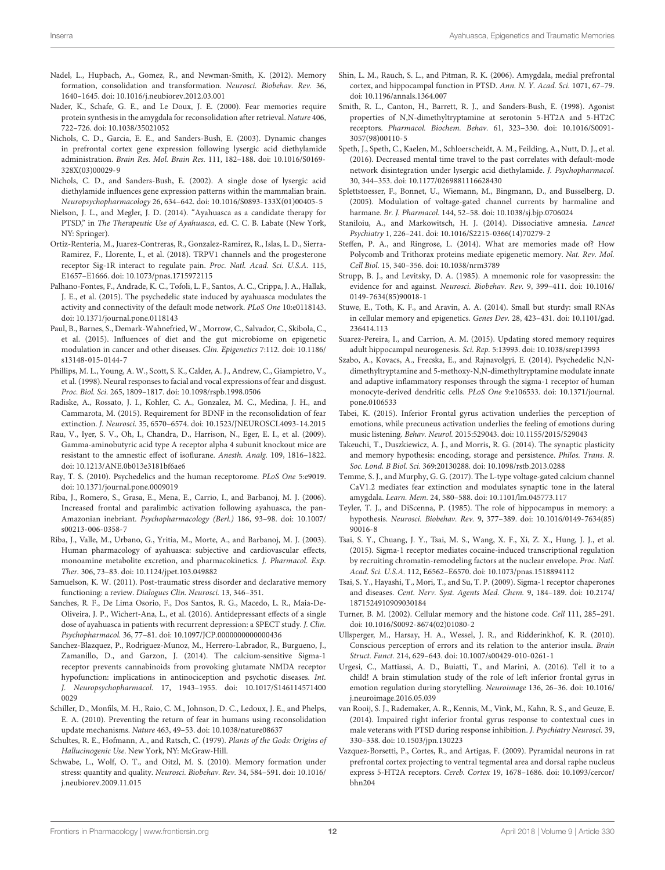- <span id="page-11-23"></span>Nadel, L., Hupbach, A., Gomez, R., and Newman-Smith, K. (2012). Memory formation, consolidation and transformation. Neurosci. Biobehav. Rev. 36, 1640–1645. [doi: 10.1016/j.neubiorev.2012.03.001](https://doi.org/10.1016/j.neubiorev.2012.03.001)
- <span id="page-11-30"></span>Nader, K., Schafe, G. E., and Le Doux, J. E. (2000). Fear memories require protein synthesis in the amygdala for reconsolidation after retrieval. Nature 406, 722–726. [doi: 10.1038/35021052](https://doi.org/10.1038/35021052)
- <span id="page-11-40"></span>Nichols, C. D., Garcia, E. E., and Sanders-Bush, E. (2003). Dynamic changes in prefrontal cortex gene expression following lysergic acid diethylamide administration. Brain Res. Mol. Brain Res. 111, 182–188. [doi: 10.1016/S0169-](https://doi.org/10.1016/S0169-328X(03)00029-9) [328X\(03\)00029-9](https://doi.org/10.1016/S0169-328X(03)00029-9)
- <span id="page-11-39"></span>Nichols, C. D., and Sanders-Bush, E. (2002). A single dose of lysergic acid diethylamide influences gene expression patterns within the mammalian brain. Neuropsychopharmacology 26, 634–642. [doi: 10.1016/S0893-133X\(01\)00405-5](https://doi.org/10.1016/S0893-133X(01)00405-5)
- <span id="page-11-5"></span>Nielson, J. L., and Megler, J. D. (2014). "Ayahuasca as a candidate therapy for PTSD," in The Therapeutic Use of Ayahuasca, ed. C. C. B. Labate (New York, NY: Springer).
- <span id="page-11-20"></span>Ortiz-Renteria, M., Juarez-Contreras, R., Gonzalez-Ramirez, R., Islas, L. D., Sierra-Ramirez, F., Llorente, I., et al. (2018). TRPV1 channels and the progesterone receptor Sig-1R interact to regulate pain. Proc. Natl. Acad. Sci. U.S.A. 115, E1657–E1666. [doi: 10.1073/pnas.1715972115](https://doi.org/10.1073/pnas.1715972115)
- <span id="page-11-7"></span>Palhano-Fontes, F., Andrade, K. C., Tofoli, L. F., Santos, A. C., Crippa, J. A., Hallak, J. E., et al. (2015). The psychedelic state induced by ayahuasca modulates the activity and connectivity of the default mode network. PLoS One 10:e0118143. [doi: 10.1371/journal.pone.0118143](https://doi.org/10.1371/journal.pone.0118143)
- <span id="page-11-38"></span>Paul, B., Barnes, S., Demark-Wahnefried, W., Morrow, C., Salvador, C., Skibola, C., et al. (2015). Influences of diet and the gut microbiome on epigenetic modulation in cancer and other diseases. Clin. Epigenetics 7:112. [doi: 10.1186/](https://doi.org/10.1186/s13148-015-0144-7) [s13148-015-0144-7](https://doi.org/10.1186/s13148-015-0144-7)
- <span id="page-11-11"></span>Phillips, M. L., Young, A. W., Scott, S. K., Calder, A. J., Andrew, C., Giampietro, V., et al. (1998). Neural responses to facial and vocal expressions of fear and disgust. Proc. Biol. Sci. 265, 1809–1817. [doi: 10.1098/rspb.1998.0506](https://doi.org/10.1098/rspb.1998.0506)
- <span id="page-11-16"></span>Radiske, A., Rossato, J. I., Kohler, C. A., Gonzalez, M. C., Medina, J. H., and Cammarota, M. (2015). Requirement for BDNF in the reconsolidation of fear extinction. J. Neurosci. 35, 6570–6574. [doi: 10.1523/JNEUROSCI.4093-14.2015](https://doi.org/10.1523/JNEUROSCI.4093-14.2015)
- <span id="page-11-15"></span>Rau, V., Iyer, S. V., Oh, I., Chandra, D., Harrison, N., Eger, E. I., et al. (2009). Gamma-aminobutyric acid type A receptor alpha 4 subunit knockout mice are resistant to the amnestic effect of isoflurane. Anesth. Analg. 109, 1816–1822. [doi: 10.1213/ANE.0b013e3181bf6ae6](https://doi.org/10.1213/ANE.0b013e3181bf6ae6)
- <span id="page-11-2"></span>Ray, T. S. (2010). Psychedelics and the human receptorome. PLoS One 5:e9019. [doi: 10.1371/journal.pone.0009019](https://doi.org/10.1371/journal.pone.0009019)
- <span id="page-11-6"></span>Riba, J., Romero, S., Grasa, E., Mena, E., Carrio, I., and Barbanoj, M. J. (2006). Increased frontal and paralimbic activation following ayahuasca, the pan-Amazonian inebriant. Psychopharmacology (Berl.) 186, 93–98. [doi: 10.1007/](https://doi.org/10.1007/s00213-006-0358-7) [s00213-006-0358-7](https://doi.org/10.1007/s00213-006-0358-7)
- <span id="page-11-3"></span>Riba, J., Valle, M., Urbano, G., Yritia, M., Morte, A., and Barbanoj, M. J. (2003). Human pharmacology of ayahuasca: subjective and cardiovascular effects, monoamine metabolite excretion, and pharmacokinetics. J. Pharmacol. Exp. Ther. 306, 73–83. [doi: 10.1124/jpet.103.049882](https://doi.org/10.1124/jpet.103.049882)
- <span id="page-11-28"></span>Samuelson, K. W. (2011). Post-traumatic stress disorder and declarative memory functioning: a review. Dialogues Clin. Neurosci. 13, 346–351.
- <span id="page-11-4"></span>Sanches, R. F., De Lima Osorio, F., Dos Santos, R. G., Macedo, L. R., Maia-De-Oliveira, J. P., Wichert-Ana, L., et al. (2016). Antidepressant effects of a single dose of ayahuasca in patients with recurrent depression: a SPECT study. J. Clin. Psychopharmacol. 36, 77–81. [doi: 10.1097/JCP.0000000000000436](https://doi.org/10.1097/JCP.0000000000000436)
- <span id="page-11-22"></span>Sanchez-Blazquez, P., Rodriguez-Munoz, M., Herrero-Labrador, R., Burgueno, J., Zamanillo, D., and Garzon, J. (2014). The calcium-sensitive Sigma-1 receptor prevents cannabinoids from provoking glutamate NMDA receptor hypofunction: implications in antinociception and psychotic diseases. Int. J. Neuropsychopharmacol. 17, 1943–1955. [doi: 10.1017/S146114571400](https://doi.org/10.1017/S1461145714000029) [0029](https://doi.org/10.1017/S1461145714000029)
- <span id="page-11-31"></span>Schiller, D., Monfils, M. H., Raio, C. M., Johnson, D. C., Ledoux, J. E., and Phelps, E. A. (2010). Preventing the return of fear in humans using reconsolidation update mechanisms. Nature 463, 49–53. [doi: 10.1038/nature08637](https://doi.org/10.1038/nature08637)
- <span id="page-11-0"></span>Schultes, R. E., Hofmann, A., and Ratsch, C. (1979). Plants of the Gods: Origins of Hallucinogenic Use. New York, NY: McGraw-Hill.
- <span id="page-11-27"></span>Schwabe, L., Wolf, O. T., and Oitzl, M. S. (2010). Memory formation under stress: quantity and quality. Neurosci. Biobehav. Rev. 34, 584–591. [doi: 10.1016/](https://doi.org/10.1016/j.neubiorev.2009.11.015) [j.neubiorev.2009.11.015](https://doi.org/10.1016/j.neubiorev.2009.11.015)
- <span id="page-11-13"></span>Shin, L. M., Rauch, S. L., and Pitman, R. K. (2006). Amygdala, medial prefrontal cortex, and hippocampal function in PTSD. Ann. N. Y. Acad. Sci. 1071, 67–79. [doi: 10.1196/annals.1364.007](https://doi.org/10.1196/annals.1364.007)
- <span id="page-11-1"></span>Smith, R. L., Canton, H., Barrett, R. J., and Sanders-Bush, E. (1998). Agonist properties of N,N-dimethyltryptamine at serotonin 5-HT2A and 5-HT2C receptors. Pharmacol. Biochem. Behav. 61, 323–330. [doi: 10.1016/S0091-](https://doi.org/10.1016/S0091-3057(98)00110-5) [3057\(98\)00110-5](https://doi.org/10.1016/S0091-3057(98)00110-5)
- <span id="page-11-14"></span>Speth, J., Speth, C., Kaelen, M., Schloerscheidt, A. M., Feilding, A., Nutt, D. J., et al. (2016). Decreased mental time travel to the past correlates with default-mode network disintegration under lysergic acid diethylamide. J. Psychopharmacol. 30, 344–353. [doi: 10.1177/0269881116628430](https://doi.org/10.1177/0269881116628430)
- <span id="page-11-33"></span>Splettstoesser, F., Bonnet, U., Wiemann, M., Bingmann, D., and Busselberg, D. (2005). Modulation of voltage-gated channel currents by harmaline and harmane. Br. J. Pharmacol. 144, 52–58. [doi: 10.1038/sj.bjp.0706024](https://doi.org/10.1038/sj.bjp.0706024)
- <span id="page-11-29"></span>Staniloiu, A., and Markowitsch, H. J. (2014). Dissociative amnesia. Lancet Psychiatry 1, 226–241. [doi: 10.1016/S2215-0366\(14\)70279-2](https://doi.org/10.1016/S2215-0366(14)70279-2)
- <span id="page-11-36"></span>Steffen, P. A., and Ringrose, L. (2014). What are memories made of? How Polycomb and Trithorax proteins mediate epigenetic memory. Nat. Rev. Mol. Cell Biol. 15, 340–356. [doi: 10.1038/nrm3789](https://doi.org/10.1038/nrm3789)
- <span id="page-11-26"></span>Strupp, B. J., and Levitsky, D. A. (1985). A mnemonic role for vasopressin: the evidence for and against. Neurosci. Biobehav. Rev. 9, 399–411. [doi: 10.1016/](https://doi.org/10.1016/0149-7634(85)90018-1) [0149-7634\(85\)90018-1](https://doi.org/10.1016/0149-7634(85)90018-1)
- <span id="page-11-37"></span>Stuwe, E., Toth, K. F., and Aravin, A. A. (2014). Small but sturdy: small RNAs in cellular memory and epigenetics. Genes Dev. 28, 423–431. [doi: 10.1101/gad.](https://doi.org/10.1101/gad.236414.113) [236414.113](https://doi.org/10.1101/gad.236414.113)
- <span id="page-11-17"></span>Suarez-Pereira, I., and Carrion, A. M. (2015). Updating stored memory requires adult hippocampal neurogenesis. Sci. Rep. 5:13993. [doi: 10.1038/srep13993](https://doi.org/10.1038/srep13993)
- <span id="page-11-18"></span>Szabo, A., Kovacs, A., Frecska, E., and Rajnavolgyi, E. (2014). Psychedelic N,Ndimethyltryptamine and 5-methoxy-N,N-dimethyltryptamine modulate innate and adaptive inflammatory responses through the sigma-1 receptor of human monocyte-derived dendritic cells. PLoS One 9:e106533. [doi: 10.1371/journal.](https://doi.org/10.1371/journal.pone.0106533) [pone.0106533](https://doi.org/10.1371/journal.pone.0106533)
- <span id="page-11-8"></span>Tabei, K. (2015). Inferior Frontal gyrus activation underlies the perception of emotions, while precuneus activation underlies the feeling of emotions during music listening. Behav. Neurol. 2015:529043. [doi: 10.1155/2015/529043](https://doi.org/10.1155/2015/529043)
- <span id="page-11-24"></span>Takeuchi, T., Duszkiewicz, A. J., and Morris, R. G. (2014). The synaptic plasticity and memory hypothesis: encoding, storage and persistence. Philos. Trans. R. Soc. Lond. B Biol. Sci. 369:20130288. [doi: 10.1098/rstb.2013.0288](https://doi.org/10.1098/rstb.2013.0288)
- <span id="page-11-32"></span>Temme, S. J., and Murphy, G. G. (2017). The L-type voltage-gated calcium channel CaV1.2 mediates fear extinction and modulates synaptic tone in the lateral amygdala. Learn. Mem. 24, 580–588. [doi: 10.1101/lm.045773.117](https://doi.org/10.1101/lm.045773.117)
- <span id="page-11-25"></span>Teyler, T. J., and DiScenna, P. (1985). The role of hippocampus in memory: a hypothesis. Neurosci. Biobehav. Rev. 9, 377–389. [doi: 10.1016/0149-7634\(85\)](https://doi.org/10.1016/0149-7634(85)90016-8) [90016-8](https://doi.org/10.1016/0149-7634(85)90016-8)
- <span id="page-11-19"></span>Tsai, S. Y., Chuang, J. Y., Tsai, M. S., Wang, X. F., Xi, Z. X., Hung, J. J., et al. (2015). Sigma-1 receptor mediates cocaine-induced transcriptional regulation by recruiting chromatin-remodeling factors at the nuclear envelope. Proc. Natl. Acad. Sci. U.S.A. 112, E6562–E6570. [doi: 10.1073/pnas.1518894112](https://doi.org/10.1073/pnas.1518894112)
- <span id="page-11-21"></span>Tsai, S. Y., Hayashi, T., Mori, T., and Su, T. P. (2009). Sigma-1 receptor chaperones and diseases. Cent. Nerv. Syst. Agents Med. Chem. 9, 184–189. [doi: 10.2174/](https://doi.org/10.2174/1871524910909030184) [1871524910909030184](https://doi.org/10.2174/1871524910909030184)
- <span id="page-11-35"></span>Turner, B. M. (2002). Cellular memory and the histone code. Cell 111, 285–291. [doi: 10.1016/S0092-8674\(02\)01080-2](https://doi.org/10.1016/S0092-8674(02)01080-2)
- <span id="page-11-12"></span>Ullsperger, M., Harsay, H. A., Wessel, J. R., and Ridderinkhof, K. R. (2010). Conscious perception of errors and its relation to the anterior insula. Brain Struct. Funct. 214, 629–643. [doi: 10.1007/s00429-010-0261-1](https://doi.org/10.1007/s00429-010-0261-1)
- <span id="page-11-9"></span>Urgesi, C., Mattiassi, A. D., Buiatti, T., and Marini, A. (2016). Tell it to a child! A brain stimulation study of the role of left inferior frontal gyrus in emotion regulation during storytelling. Neuroimage 136, 26–36. [doi: 10.1016/](https://doi.org/10.1016/j.neuroimage.2016.05.039) [j.neuroimage.2016.05.039](https://doi.org/10.1016/j.neuroimage.2016.05.039)
- <span id="page-11-10"></span>van Rooij, S. J., Rademaker, A. R., Kennis, M., Vink, M., Kahn, R. S., and Geuze, E. (2014). Impaired right inferior frontal gyrus response to contextual cues in male veterans with PTSD during response inhibition. J. Psychiatry Neurosci. 39, 330–338. [doi: 10.1503/jpn.130223](https://doi.org/10.1503/jpn.130223)
- <span id="page-11-34"></span>Vazquez-Borsetti, P., Cortes, R., and Artigas, F. (2009). Pyramidal neurons in rat prefrontal cortex projecting to ventral tegmental area and dorsal raphe nucleus express 5-HT2A receptors. Cereb. Cortex 19, 1678–1686. [doi: 10.1093/cercor/](https://doi.org/10.1093/cercor/bhn204) [bhn204](https://doi.org/10.1093/cercor/bhn204)